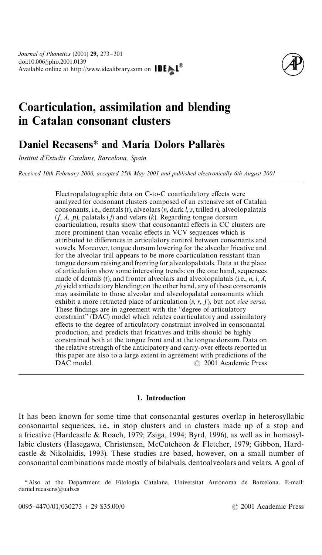

# <span id="page-0-0"></span>Coarticulation, assimilation and blending in Catalan consonant clusters

# Daniel Recasens<sup>\*</sup> and Maria Dolors Pallarès

*Institut d*+*Estudis Catalans, Barcelona, Spain*

*Received 10th February 2000, accepted 25th May 2001 and published electronically 6th August 2001*

Electropalatographic data on C-to-C coarticulatory effects were analyzed for consonant clusters composed of an extensive set of Catalan consonants, i.e., dentals (*t*), alveolars (*n*, dark *l*, *s*, trilled *r*), alveolopalatals  $(f, \Lambda, \eta)$ , palatals  $(j)$  and velars  $(k)$ . Regarding tongue dorsum coarticulation, results show that consonantal effects in CC clusters are more prominent than vocalic effects in VCV sequences which is attributed to differences in articulatory control between consonants and vowels. Moreover, tongue dorsum lowering for the alveolar fricative and for the alveolar trill appears to be more coarticulation resistant than tongue dorsum raising and fronting for alveolopalatals. Data at the place of articulation show some interesting trends: on the one hand, sequences made of dentals (*t*), and fronter alveolars and alveolopalatals (i.e., *n*, *l*, <sup>V</sup>,  $\hat{p}$ ) yield articulatory blending; on the other hand, any of these consonants may assimilate to those alveolar and alveolopalatal consonants which exhibit a more retracted place of articulation (*s*, *r*, ʃ ), but not *vice versa*. These findings are in agreement with the "degree of articulatory constraint'' (DAC) model which relates coarticulatory and assimilatory effects to the degree of articulatory constraint involved in consonantal production, and predicts that fricatives and trills should be highly constrained both at the tongue front and at the tongue dorsum. Data on the relative strength of the anticipatory and carry-over effects reported in this paper are also to a large extent in agreement with predictions of the DAC model.  $\qquad \qquad \odot$  2001 Academic Press

# 1. Introduction

It has been known for some time that consonantal gestures overlap in heterosyllabic consonantal sequences, i.e., in stop clusters and in clusters made up of a stop and a fricative [\(Hardcastle & Roach, 1979;](#page-27-0) [Zsiga, 1994;](#page-28-0) [Byrd, 1996\)](#page-27-0), as well as in homosyllabic clusters [\(Hasegawa, Christensen, McCutcheon & Fletcher, 1979; Gibbon, Hard](#page-27-0)[castle & Nikolaidis, 1993\).](#page-27-0) These studies are based, however, on a small number of consonantal combinations made mostly of bilabials, dentoalveolars and velars. A goal of

\* Also at the Department de Filologia Catalana, Universitat Autonoma de Barcelona. E-mail: daniel.recasens@uab.es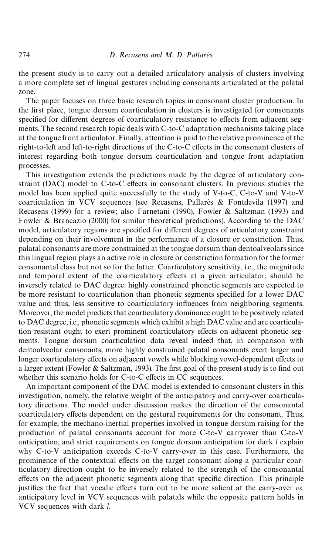the present study is to carry out a detailed articulatory analysis of clusters involving a more complete set of lingual gestures including consonants articulated at the palatal zone.

The paper focuses on three basic research topics in consonant cluster production. In the first place, tongue dorsum coarticulation in clusters is investigated for consonants specified for different degrees of coarticulatory resistance to effects from adjacent segments. The second research topic deals with C-to-C adaptation mechanisms taking place at the tongue front articulator. Finally, attention is paid to the relative prominence of the right-to-left and left-to-right directions of the C-to-C effects in the consonant clusters of interest regarding both tongue dorsum coarticulation and tongue front adaptation processes.

This investigation extends the predictions made by the degree of articulatory constraint (DAC) model to C-to-C effects in consonant clusters. In previous studies the model has been applied quite successfully to the study of V-to-C, C-to-V and V-to-V coarticulation in VCV sequences (see Recasens, Pallarès & Fontdevila (1997) and [Recasens \(1999\)](#page-28-0) for a review; also [Farnetani \(1990\), Fowler & Saltzman \(1993\)](#page-27-0) and [Fowler & Brancazio \(2000\)](#page-27-0) for similar theoretical predictions). According to the DAC model, articulatory regions are specified for different degrees of articulatory constraint depending on their involvement in the performance of a closure or constriction. Thus, palatal consonants are more constrained at the tongue dorsum than dentoalveolars since this lingual region plays an active role in closure or constriction formation for the former consonantal class but not so for the latter. Coarticulatory sensitivity, i.e., the magnitude and temporal extent of the coarticulatory effects at a given articulator, should be inversely related to DAC degree: highly constrained phonetic segments are expected to be more resistant to coarticulation than phonetic segments specified for a lower DAC value and thus, less sensitive to coarticulatory influences from neighboring segments. Moreover, the model predicts that coarticulatory dominance ought to be positively related to DAC degree, i.e., phonetic segments which exhibit a high DAC value and are coarticulation resistant ought to exert prominent coarticulatory effects on adjacent phonetic segments. Tongue dorsum coarticulation data reveal indeed that, in comparison with dentoalveolar consonants, more highly constrained palatal consonants exert larger and longer coarticulatory effects on adjacent vowels while blocking vowel-dependent effects to a larger extent [\(Fowler & Saltzman, 1993\)](#page-27-0). The first goal of the present study is to find out whether this scenario holds for C-to-C effects in CC sequences.

An important component of the DAC model is extended to consonant clusters in this investigation, namely, the relative weight of the anticipatory and carry-over coarticulatory directions. The model under discussion makes the direction of the consonantal coarticulatory effects dependent on the gestural requirements for the consonant. Thus, for example, the mechano-inertial properties involved in tongue dorsum raising for the production of palatal consonants account for more C-to-V carryover than C-to-V anticipation, and strict requirements on tongue dorsum anticipation for dark *l* explain why C-to-V anticipation exceeds C-to-V carry-over in this case. Furthermore, the prominence of the contextual effects on the target consonant along a particular coarticulatory direction ought to be inversely related to the strength of the consonantal effects on the adjacent phonetic segments along that specific direction. This principle justifies the fact that vocalic effects turn out to be more salient at the carry-over *vs*. anticipatory level in VCV sequences with palatals while the opposite pattern holds in VCV sequences with dark *l*.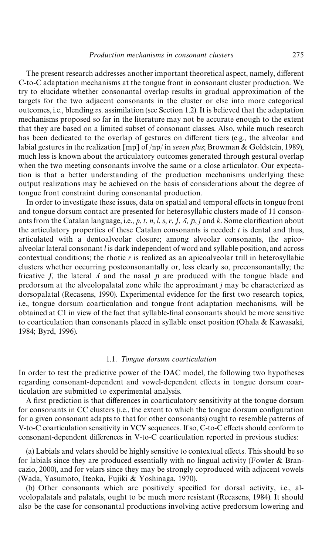The present research addresses another important theoretical aspect, namely, different C-to-C adaptation mechanisms at the tongue front in consonant cluster production. We try to elucidate whether consonantal overlap results in gradual approximation of the targets for the two adjacent consonants in the cluster or else into more categorical outcomes, i.e., blending *vs*. assimilation (see Section 1.2). It is believed that the adaptation mechanisms proposed so far in the literature may not be accurate enough to the extent that they are based on a limited subset of consonant classes. Also, while much research has been dedicated to the overlap of gestures on different tiers (e.g., the alveolar and labial gestures in the realization [mp] of /np/ in *seven plus*; [Browman & Goldstein, 1989\)](#page-27-0), much less is known about the articulatory outcomes generated through gestural overlap when the two meeting consonants involve the same or a close articulator. Our expectation is that a better understanding of the production mechanisms underlying these output realizations may be achieved on the basis of considerations about the degree of tongue front constraint during consonantal production.

In order to investigate these issues, data on spatial and temporal effects in tongue front and tongue dorsum contact are presented for heterosyllabic clusters made of 11 consonants from the Catalan language, i.e.,  $p$ ,  $t$ ,  $n$ ,  $l$ ,  $s$ ,  $r$ ,  $f$ ,  $A$ ,  $p$ ,  $j$  and  $k$ . Some clarification about the articulatory properties of these Catalan consonants is needed: *t* is dental and thus, articulated with a dentoalveolar closure; among alveolar consonants, the apicoalveolar lateral consonant *l* is dark independent of word and syllable position, and across contextual conditions; the rhotic *r* is realized as an apicoalveolar trill in heterosyllabic clusters whether occurring postconsonantally or, less clearly so, preconsonantally; the fricative f, the lateral  $\Lambda$  and the nasal  $\eta$  are produced with the tongue blade and predorsum at the alveolopalatal zone while the approximant *j* may be characterized as dorsopalatal [\(Recasens, 1990\).](#page-28-0) Experimental evidence for the first two research topics, i.e., tongue dorsum coarticulation and tongue front adaptation mechanisms, will be obtained at C1 in view of the fact that syllable-final consonants should be more sensitive to coarticulation than consonants placed in syllable onset position [\(Ohala & Kawasaki,](#page-28-0) [1984;](#page-28-0) [Byrd, 1996\).](#page-27-0)

# 1.1. Tongue dorsum coarticulation

In order to test the predictive power of the DAC model, the following two hypotheses regarding consonant-dependent and vowel-dependent effects in tongue dorsum coarticulation are submitted to experimental analysis.

A first prediction is that differences in coarticulatory sensitivity at the tongue dorsum for consonants in CC clusters (i.e., the extent to which the tongue dorsum configuration for a given consonant adapts to that for other consonants) ought to resemble patterns of V-to-C coarticulation sensitivity in VCV sequences. If so, C-to-C effects should conform to consonant-dependent differences in V-to-C coarticulation reported in previous studies:

(a) Labials and velars should be highly sensitive to contextual effects. This should be so for labials since they are produced essentially with no lingual activity (Fowler  $&$  Bran[cazio, 2000\),](#page-27-0) and for velars since they may be strongly coproduced with adjacent vowels [\(Wada, Yasumoto, Iteoka, Fujiki & Yoshinaga, 1970\).](#page-28-0)

(b) Other consonants which are positively specified for dorsal activity, i.e., alveolopalatals and palatals, ought to be much more resistant [\(Recasens, 1984\).](#page-28-0) It should also be the case for consonantal productions involving active predorsum lowering and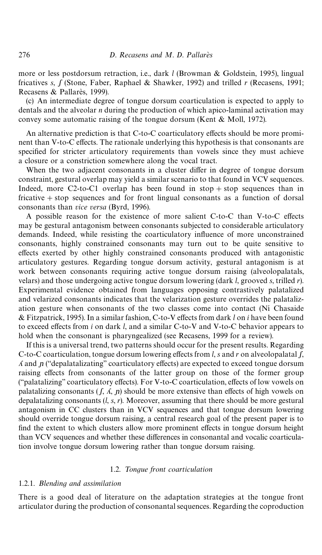more or less postdorsum retraction, i.e., dark *l* [\(Browman & Goldstein, 1995\),](#page-27-0) lingual fricatives *s*, ʃ [\(Stone, Faber, Raphael & Shawker, 1992\)](#page-28-0) and trilled *r* [\(Recasens, 1991;](#page-28-0) Recasens & Pallarès, 1999).

(c) An intermediate degree of tongue dorsum coarticulation is expected to apply to dentals and the alveolar *n* during the production of which apico-laminal activation may convey some automatic raising of the tongue dorsum [\(Kent & Moll, 1972\).](#page-27-0)

An alternative prediction is that C-to-C coarticulatory effects should be more prominent than V-to-C effects. The rationale underlying this hypothesis is that consonants are specified for stricter articulatory requirements than vowels since they must achieve a closure or a constriction somewhere along the vocal tract.

When the two adjacent consonants in a cluster differ in degree of tongue dorsum constraint, gestural overlap may yield a similar scenario to that found in VCV sequences. Indeed, more C2-to-C1 overlap has been found in stop  $+$  stop sequences than in fricative  $+$  stop sequences and for front lingual consonants as a function of dorsal consonants than *vice versa* [\(Byrd, 1996\).](#page-27-0)

A possible reason for the existence of more salient C-to-C than V-to-C effects may be gestural antagonism between consonants subjected to considerable articulatory demands. Indeed, while resisting the coarticulatory influence of more unconstrained consonants, highly constrained consonants may turn out to be quite sensitive to effects exerted by other highly constrained consonants produced with antagonistic articulatory gestures. Regarding tongue dorsum activity, gestural antagonism is at work between consonants requiring active tongue dorsum raising (alveolopalatals, velars) and those undergoing active tongue dorsum lowering (dark *l*, grooved *s*, trilled *r*). Experimental evidence obtained from languages opposing contrastively palatalized and velarized consonants indicates that the velarization gesture overrides the palataliz-ation gesture when consonants of the two classes come into contact (Ni [Chasaide](#page-27-0) [& Fitzpatrick, 1995\).](#page-27-0) In a similar fashion, C-to-V effects from dark *l* on *i* have been found to exceed effects from *i* on dark *l*, and a similar C-to-V and V-to-C behavior appears to hold when the consonant is pharyngealized (se[e Recasens, 1999](#page-28-0) for a review).

If this is a universal trend, two patterns should occur for the present results. Regarding C-to-C coarticulation, tongue dorsum lowering effects from *l*, *s* and *r* on alveolopalatal *f*,  $\Lambda$  and  $\mu$  ("depalatalizating" coarticulatory effects) are expected to exceed tongue dorsum raising effects from consonants of the latter group on those of the former group ("palatalizing" coarticulatory effects). For V-to-C coarticulation, effects of low vowels on palatalizing consonants  $(f, \Lambda, n)$  should be more extensive than effects of high vowels on depalatalizing consonants (*l*, *s*, *r*). Moreover, assuming that there should be more gestural antagonism in CC clusters than in VCV sequences and that tongue dorsum lowering should override tongue dorsum raising, a central research goal of the present paper is to find the extent to which clusters allow more prominent effects in tongue dorsum height than VCV sequences and whether these differences in consonantal and vocalic coarticulation involve tongue dorsum lowering rather than tongue dorsum raising.

# 1.2. Tongue front coarticulation

# 1.2.1. *Blending and assimilation*

There is a good deal of literature on the adaptation strategies at the tongue front articulator during the production of consonantal sequences. Regarding the coproduction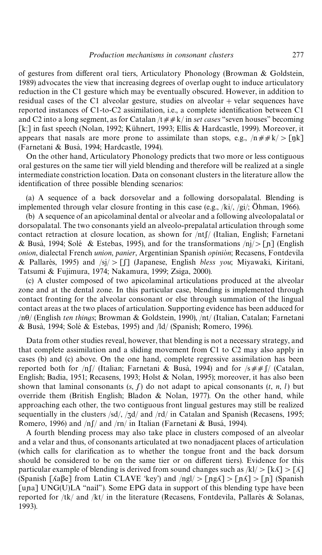of gestures from different oral tiers, Articulatory Phonology (Browman  $\&$  Goldstein, [1989\)](#page-27-0) advocates the view that increasing degrees of overlap ought to induce articulatory reduction in the C1 gesture which may be eventually obscured. However, in addition to residual cases of the C1 alveolar gesture, studies on alveolar  $+$  velar sequences have reported instances of  $C1$ -to- $C2$  assimilation, i.e., a complete identification between  $C1$ and C2 into a long segment, as for Catalan  $/t \# K /$  in *set cases* "seven houses" becoming [k:] in fast speech [\(Nolan, 1992;](#page-28-0) Kü[hnert, 1993; Ellis & Hardcastle, 1999\).](#page-27-0) Moreover, it appears that nasals are more prone to assimilate than stops, e.g.,  $/n \neq k$  [Fing] (Farnetani & Busà, 1994; Hardcastle, 1994).

On the other hand, Articulatory Phonology predicts that two more or less contiguous oral gestures on the same tier will yield blending and therefore will be realized at a single intermediate constriction location. Data on consonant clusters in the literature allow the identification of three possible blending scenarios:

(a) A sequence of a back dorsovelar and a following dorsopalatal. Blending is implemented through velar closure fronting in this case (e.g., /ki/, /gi/; Ö[hman, 1966\).](#page-28-0)

(b) A sequence of an apicolaminal dental or alveolar and a following alveolopalatal or dorsopalatal. The two consonants yield an alveolo-prepalatal articulation through some contact retraction at closure location, as shown for /ntʃ/ (Italian, English; [Farnetani](#page-27-0) & Busà, 1994; Solé [& Estebas, 1995\),](#page-28-0) and for the transformations  $/nj$  [ $[n]$  (English *onion*, dialectal French *union*, *panier*, Argentinian Spanish *opinión*; Recasens[, Fontdevila](#page-27-0) & Pallarès, 1995) and  $\langle sj \rangle > [f]$  (Japanese, English *bless you*; [Miyawaki, Kiritani,](#page-27-0) [Tatsumi & Fujimura, 1974; Nakamura, 1999;](#page-27-0) [Zsiga, 2000\).](#page-28-0)

(c) A cluster composed of two apicolaminal articulations produced at the alveolar zone and at the dental zone. In this particular case, blending is implemented through contact fronting for the alveolar consonant or else through summation of the lingual contact areas at the two places of articulation. Supporting evidence has been adduced for /nV/ (English *ten things*; [Browman & Goldstein, 1990\),](#page-27-0) /nt/ (Italian, Catalan; [Farnetani](#page-27-0) & Busà, 1994; Solé [& Estebas, 1995\)](#page-28-0) and  $\frac{Id}{I}$  (Spanish; [Romero, 1996\).](#page-28-0)

Data from other studies reveal, however, that blending is not a necessary strategy, and that complete assimilation and a sliding movement from C1 to C2 may also apply in cases (b) and (c) above. On the one hand, complete regressive assimilation has been reported both for /nf/ (Italian; Farnetani & Busà, 1994) and for  $\frac{s}{\#f}$  (Catalan, English; [Badia, 1951;](#page-26-0) [Recasens, 1993;](#page-28-0) [Holst & Nolan, 1995\)](#page-27-0); moreover, it has also been shown that laminal consonants  $(s, f)$  do not adapt to apical consonants  $(t, n, l)$  but override them (British English; [Bladon & Nolan, 1977\).](#page-26-0) On the other hand, while approaching each other, the two contiguous front lingual gestures may still be realized sequentially in the clusters  $/sd/$ ,  $/3d/$  and  $/rd/$  in Catalan and Spanish [\(Recasens, 1995;](#page-28-0) [Romero, 1996\)](#page-28-0) and /nʃ/ and /rn/ in Italian [\(Farnetani & Busa](#page-27-0)H, 1994).

A fourth blending process may also take place in clusters composed of an alveolar and a velar and thus, of consonants articulated at two nonadjacent places of articulation (which calls for clarification as to whether the tongue front and the back dorsum should be considered to be on the same tier or on different tiers). Evidence for this particular example of blending is derived from sound changes such as  $|k| > [k\Lambda] > [(\Lambda)]$ (Spanish [ $\text{A}$ a $\beta$ e] from Latin CLAVE 'key') and  $\text{A}$  $|p|$   $>$  [ $\text{A}$ ]  $>$  [ $\text{A}$ ]  $>$  [ $\text{A}$ ] (Spanish [una] UNG(U)LA "nail"). Some EPG data in support of this blending type have been reported for /tk/ and /kt/ in the literature (Recasens, Fontdevila, Pallare`s & Solanas, [1993\).](#page-28-0)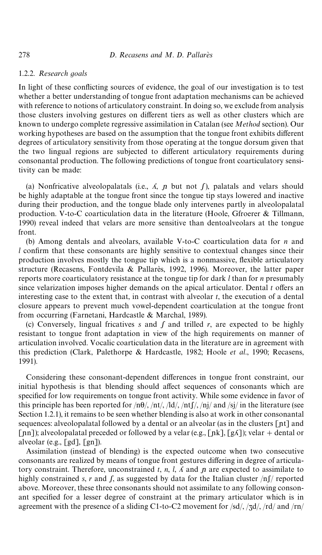# 1.2.2. *Research goals*

In light of these conflicting sources of evidence, the goal of our investigation is to test whether a better understanding of tongue front adaptation mechanisms can be achieved with reference to notions of articulatory constraint. In doing so, we exclude from analysis those clusters involving gestures on different tiers as well as other clusters which are known to undergo complete regressive assimilation in Catalan (see *Method* section). Our working hypotheses are based on the assumption that the tongue front exhibits different degrees of articulatory sensitivity from those operating at the tongue dorsum given that the two lingual regions are subjected to different articulatory requirements during consonantal production. The following predictions of tongue front coarticulatory sensitivity can be made:

(a) Nonfricative alveolopalatals (i.e.,  $\Lambda$ ,  $\mu$  but not  $\int$ ), palatals and velars should be highly adaptable at the tongue front since the tongue tip stays lowered and inactive during their production, and the tongue blade only intervenes partly in alveolopalatal production. V-to-C coarticulation data in the literature [\(Hoole, Gfroerer & Tillmann,](#page-27-0) [1990\)](#page-27-0) reveal indeed that velars are more sensitive than dentoalveolars at the tongue front.

(b) Among dentals and alveolars, available V-to-C coarticulation data for *n* and *l* confirm that these consonants are highly sensitive to contextual changes since their production involves mostly the tongue tip which is a nonmassive, flexible articulatory structure (Recasens, Fontdevila & Pallarès, 1992, 1996). Moreover, the latter paper reports more coarticulatory resistance at the tongue tip for dark *l* than for *n* presumably since velarization imposes higher demands on the apical articulator. Dental  $t$  offers an interesting case to the extent that, in contrast with alveolar *t*, the execution of a dental closure appears to prevent much vowel-dependent coarticulation at the tongue front from occurring [\(Farnetani, Hardcastle & Marchal, 1989\).](#page-27-0)

(c) Conversely, lingual fricatives  $s$  and  $f$  and trilled  $r$ , are expected to be highly resistant to tongue front adaptation in view of the high requirements on manner of articulation involved. Vocalic coarticulation data in the literature are in agreement with this prediction [\(Clark, Palethorpe & Hardcastle, 1982;](#page-27-0) Hoole *et al*[., 1990;](#page-27-0) [Recasens,](#page-28-0) [1991\)](#page-28-0).

Considering these consonant-dependent differences in tongue front constraint, our initial hypothesis is that blending should affect sequences of consonants which are specified for low requirements on tongue front activity. While some evidence in favor of this principle has been reported for  $\frac{ln\theta}{,} \frac{ln\pi}{,} \frac{ln\pi}{,} \frac{ln\pi}{,} \frac{sin\pi}{,}$  in the literature (see Section 1.2.1), it remains to be seen whether blending is also at work in other consonantal sequences: alveolopalatal followed by a dental or an alveolar (as in the clusters  $[nt]$  and [pn]); alveolopalatal preceded or followed by a velar (e.g., [pk], [g $\Lambda$ ]); velar + dental or alveolar (e.g., [gd], [gn]).

Assimilation (instead of blending) is the expected outcome when two consecutive consonants are realized by means of tongue front gestures differing in degree of articulatory constraint. Therefore, unconstrained  $t$ ,  $n$ ,  $l$ ,  $\Lambda$  and  $p$  are expected to assimilate to highly constrained *s*, *r* and  $f$ , as suggested by data for the Italian cluster  $\frac{f}{f}$  reported above. Moreover, these three consonants should not assimilate to any following consonant specified for a lesser degree of constraint at the primary articulator which is in agreement with the presence of a sliding C1-to-C2 movement for  $\frac{sd}{\sqrt{3}d}$ ,  $\frac{rd}{ad}$  and  $\frac{rn}{\sqrt{3}d}$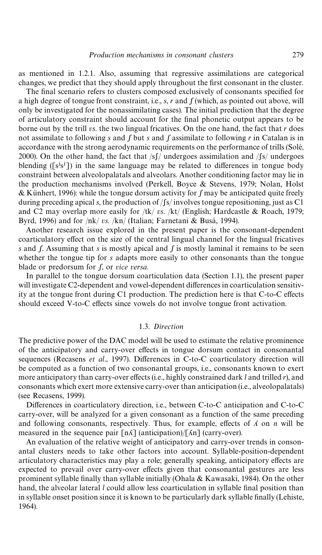as mentioned in 1.2.1. Also, assuming that regressive assimilations are categorical changes, we predict that they should apply throughout the first consonant in the cluster.

The final scenario refers to clusters composed exclusively of consonants specified for a high degree of tongue front constraint, i.e.,  $s, r$  and  $f$  (which, as pointed out above, will only be investigated for the nonassimilating cases). The initial prediction that the degree of articulatory constraint should account for the "nal phonetic output appears to be borne out by the trill *vs*. the two lingual fricatives. On the one hand, the fact that *r* does not assimilate to following *s* and ʃ but *s* and ʃ assimilate to following *r* in Catalan is in accordance with the strong aerodynamic requirements on the performance of trills (Solé, [2000\).](#page-28-0) On the other hand, the fact that  $\sqrt{s}$  undergoes assimilation and  $\sqrt{s}$  undergoes blending ( $[s^3s^j]$ ) in the same language may be related to differences in tongue body constraint between alveolopalatals and alveolars. Another conditioning factor may lie in the production mechanisms involved [\(Perkell, Boyce & Stevens, 1979; Nolan, Holst](#page-28-0) & Kü[nhert, 1996\):](#page-28-0) while the tongue dorsum activity for  $f$  may be anticipated quite freely during preceding apical *s*, the production of /ʃs/ involves tongue repositioning, just as C1 and C2 may overlap more easily for /tk/ *vs*. /kt/ (English; [Hardcastle & Roach, 1979;](#page-27-0) [Byrd, 1996\)](#page-27-0) and for /nk/ *vs.* /kn/ (Italian; Farnetani & Busà, 1994).

Another research issue explored in the present paper is the consonant-dependent coarticulatory effect on the size of the central lingual channel for the lingual fricatives *s* and *f*. Assuming that *s* is mostly apical and *f* is mostly laminal it remains to be seen whether the tongue tip for *s* adapts more easily to other consonants than the tongue blade or predorsum for ʃ, or *vice versa*.

In parallel to the tongue dorsum coarticulation data (Section 1.1), the present paper will investigate C2-dependent and vowel-dependent differences in coarticulation sensitivity at the tongue front during C1 production. The prediction here is that C-to-C effects should exceed V-to-C effects since vowels do not involve tongue front activation.

# 1.3. *Direction*

The predictive power of the DAC model will be used to estimate the relative prominence of the anticipatory and carry-over effects in tongue dorsum contact in consonantal sequences [\(Recasens](#page-28-0) *et al.*, 1997). Differences in C-to-C coarticulatory direction will be computed as a function of two consonantal groups, i.e., consonants known to exert more anticipatory than carry-over effects (i.e., highly constrained dark *l* and trilled *r*), and consonants which exert more extensive carry-over than anticipation (i.e., alveolopalatals) (see [Recasens, 1999\).](#page-28-0)

Differences in coarticulatory direction, i.e., between C-to-C anticipation and C-to-C carry-over, will be analyzed for a given consonant as a function of the same preceding and following consonants, respectively. Thus, for example, effects of  $\Lambda$  on  $\overline{n}$  will be measured in the sequence pair  $\lceil n\Lambda \rceil$  (anticipation)/ $\lceil \Lambda n \rceil$  (carry-over).

An evaluation of the relative weight of anticipatory and carry-over trends in consonantal clusters needs to take other factors into account. Syllable-position-dependent articulatory characteristics may play a role; generally speaking, anticipatory effects are expected to prevail over carry-over effects given that consonantal gestures are less prominent syllable finally than syllable initially (Ohala  $&$  Kawasaki, 1984). On the other hand, the alveolar lateral *l* could allow less coarticulation in syllable final position than in syllable onset position since it is known to be particularly dark syllable finally [\(Lehiste,](#page-27-0) [1964\).](#page-27-0)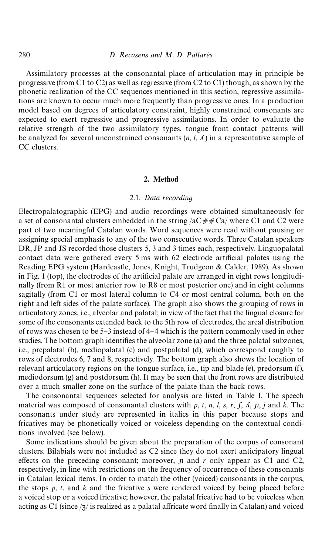Assimilatory processes at the consonantal place of articulation may in principle be progressive (from C1 to C2) as well as regressive (from C2 to C1) though, as shown by the phonetic realization of the CC sequences mentioned in this section, regressive assimilations are known to occur much more frequently than progressive ones. In a production model based on degrees of articulatory constraint, highly constrained consonants are expected to exert regressive and progressive assimilations. In order to evaluate the relative strength of the two assimilatory types, tongue front contact patterns will be analyzed for several unconstrained consonants  $(n, l, \Lambda)$  in a representative sample of CC clusters.

# 2. Method

# 2.1. *Data recording*

Electropalatographic (EPG) and audio recordings were obtained simultaneously for a set of consonantal clusters embedded in the string  $aC \# \# Ca$  where C1 and C2 were part of two meaningful Catalan words. Word sequences were read without pausing or assigning special emphasis to any of the two consecutive words. Three Catalan speakers DR, JP and JS recorded those clusters 5, 3 and 3 times each, respectively. Linguopalatal contact data were gathered every 5 ms with 62 electrode artificial palates using the Reading EPG system [\(Hardcastle, Jones, Knight, Trudgeon & Calder, 1989\).](#page-27-0) As shown in [Fig. 1](#page-8-0) (top), the electrodes of the artificial palate are arranged in eight rows longitudinally (from R1 or most anterior row to R8 or most posterior one) and in eight columns sagitally (from C1 or most lateral column to C4 or most central column, both on the right and left sides of the palate surface). The graph also shows the grouping of rows in articulatory zones, i.e., alveolar and palatal; in view of the fact that the lingual closure for some of the consonants extended back to the 5th row of electrodes, the areal distribution of rows was chosen to be  $5-3$  instead of  $4-4$  which is the pattern commonly used in other studies. The bottom graph identifies the alveolar zone (a) and the three palatal subzones, i.e., prepalatal (b), mediopalatal (c) and postpalatal (d), which correspond roughly to rows of electrodes 6, 7 and 8, respectively. The bottom graph also shows the location of relevant articulatory regions on the tongue surface, i.e., tip and blade (e), predorsum (f), mediodorsum (g) and postdorsum (h). It may be seen that the front rows are distributed over a much smaller zone on the surface of the palate than the back rows.

The consonantal sequences selected for analysis are listed in [Table I.](#page-8-0) The speech material was composed of consonantal clusters with  $p$ ,  $t$ ,  $n$ ,  $l$ ,  $s$ ,  $r$ ,  $f$ ,  $\Delta$ ,  $p$ ,  $j$  and  $k$ . The consonants under study are represented in italics in this paper because stops and fricatives may be phonetically voiced or voiceless depending on the contextual conditions involved (see below).

Some indications should be given about the preparation of the corpus of consonant clusters. Bilabials were not included as C2 since they do not exert anticipatory lingual effects on the preceding consonant; moreover,  $p$  and  $r$  only appear as C1 and C2, respectively, in line with restrictions on the frequency of occurrence of these consonants in Catalan lexical items. In order to match the other (voiced) consonants in the corpus, the stops *p*, *t*, and *k* and the fricative *s* were rendered voiced by being placed before a voiced stop or a voiced fricative; however, the palatal fricative had to be voiceless when acting as C1 (since  $\sqrt{3}$  is realized as a palatal affricate word finally in Catalan) and voiced

<span id="page-7-0"></span>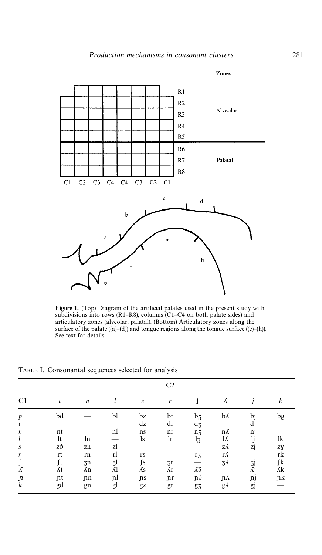<span id="page-8-0"></span>

Figure 1. (Top) Diagram of the artificial palates used in the present study with subdivisions into rows (R1–R8), columns (C1–C4 on both palate sides) and articulatory zones (alveolar, palatal). (Bottom) Articulatory zones along the surface of the palate ((a)–(d)) and tongue regions along the tongue surface ((e)–(h)). See text for details.

| C <sub>1</sub>   | C <sub>2</sub> |    |                |              |                |                 |              |                        |                                        |  |  |
|------------------|----------------|----|----------------|--------------|----------------|-----------------|--------------|------------------------|----------------------------------------|--|--|
|                  | t              | n  |                | S            | r              |                 | Â            |                        | k                                      |  |  |
| $\boldsymbol{p}$ | bd             |    | bl             | bz           | br             | $b_3$           | b۸           | bj                     | bg                                     |  |  |
| $\boldsymbol{t}$ |                |    |                | dz           | dr             | $d_3$           |              | dj                     |                                        |  |  |
| $\boldsymbol{n}$ | nt             |    | nl             | ns           | nr             | n <sub>3</sub>  | nÂ           | nj                     |                                        |  |  |
| l                | <sup>1</sup> t | ln |                | $\log$       | <sup>1</sup> r | 1 <sub>3</sub>  | lΛ           |                        | 1k                                     |  |  |
| $\boldsymbol{S}$ | zð             | zn | zl             |              |                |                 | zΛ           | lj<br>zj               | zy                                     |  |  |
| r                | rt             | rn | rl             | rs           |                | $r_3$           | r۸           |                        | rk                                     |  |  |
| $\int$           | $\int t$       | 3n | 5 <sup>1</sup> | ∫s           | 3r             |                 | $3\Lambda$   | $\frac{3j}{\Lambda j}$ | ſk                                     |  |  |
| Á                | Λt             | Λn | Λl             | Λs           | Λr             | $\Lambda 3$     |              |                        | Λk                                     |  |  |
| $\sqrt{n}$       | $\mathbf{p}$   | nn | J              | $\mathbf{m}$ | $\mathbf{p}$   | $\mathfrak{n}3$ | $\mathbf{n}$ | Jij                    | $\ensuremath{\text{n}}\xspace\text{k}$ |  |  |
| $\overline{k}$   | gd             | gn | gl             | gZ           | gr             | 83              | gΛ           | $g_{j}$                |                                        |  |  |

TABLE I. Consonantal sequences selected for analysis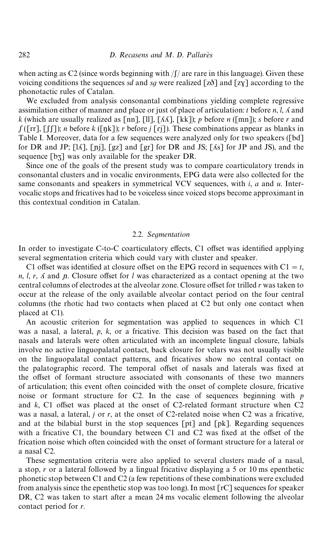when acting as  $C_2$  (since words beginning with  $/f$  are rare in this language). Given these voicing conditions the sequences *sd* and *sq* were realized  $\lceil z\delta \rceil$  and  $\lceil z\gamma \rceil$  according to the phonotactic rules of Catalan.

We excluded from analysis consonantal combinations yielding complete regressive assimilation either of manner and place or just of place of articulation:  $t$  before  $n, l, \Lambda$  and  $k$  (which are usually realized as  $\lceil \text{nn} \rceil$ ,  $\lceil \text{III} \rceil$ ,  $\lceil K\Lambda \rceil$ ,  $\lceil k\kappa \rceil$ ); *p* before *n* ( $\lceil \text{mn} \rceil$ ); *s* before *r* and  $\int$ ([rr], [f]); *n* before *k* ([nk]); *r* before *j* [rj]). These combinations appear as blanks in Table I. Moreover, data for a few sequences were analyzed only for two speakers ([bd] for DR and JP; [lV], [Ej], [gz] and [gr] for DR and JS; [Vs] for JP and JS), and the sequence  $[b_7]$  was only available for the speaker DR.

Since one of the goals of the present study was to compare coarticulatory trends in consonantal clusters and in vocalic environments, EPG data were also collected for the same consonants and speakers in symmetrical VCV sequences, with *i*, *a* and *u*. Intervocalic stops and fricatives had to be voiceless since voiced stops become approximant in this contextual condition in Catalan.

# 2.2. *Segmentation*

In order to investigate C-to-C coarticulatory effects, C1 offset was identified applying several segmentation criteria which could vary with cluster and speaker.

C1 offset was identified at closure offset on the EPG record in sequences with  $C_1 = t$ ,  $n, l, r, \Lambda$  and  $n$ . Closure offset for *l* was characterized as a contact opening at the two central columns of electrodes at the alveolar zone. Closure offset for trilled *r* was taken to occur at the release of the only available alveolar contact period on the four central columns (the rhotic had two contacts when placed at C2 but only one contact when placed at C1).

An acoustic criterion for segmentation was applied to sequences in which C1 was a nasal, a lateral, *p*, *k*, or a fricative. This decision was based on the fact that nasals and laterals were often articulated with an incomplete lingual closure, labials involve no active linguopalatal contact, back closure for velars was not usually visible on the linguopalatal contact patterns, and fricatives show no central contact on the palatographic record. The temporal offset of nasals and laterals was fixed at the offset of formant structure associated with consonants of these two manners of articulation; this event often coincided with the onset of complete closure, fricative noise or formant structure for C2. In the case of sequences beginning with *p* and  $k$ , C1 offset was placed at the onset of C2-related formant structure when C2 was a nasal, a lateral, *j* or *r*, at the onset of C2-related noise when C2 was a fricative, and at the bilabial burst in the stop sequences [pt] and [pk]. Regarding sequences with a fricative C1, the boundary between C1 and C2 was fixed at the offset of the frication noise which often coincided with the onset of formant structure for a lateral or a nasal C2.

These segmentation criteria were also applied to several clusters made of a nasal, a stop, *r* or a lateral followed by a lingual fricative displaying a 5 or 10 ms epenthetic phonetic stop between C1 and C2 (a few repetitions of these combinations were excluded from analysis since the epenthetic stop was too long). In most [rC] sequences for speaker DR, C2 was taken to start after a mean 24 ms vocalic element following the alveolar contact period for *r*.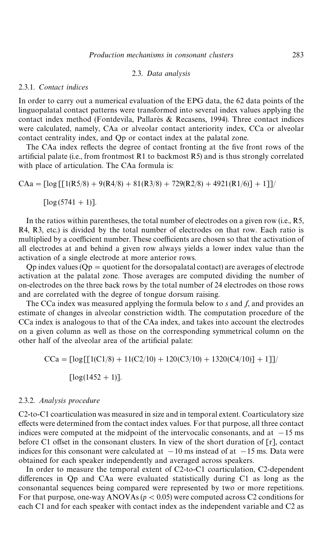# 2.3. *Data analysis*

# 2.3.1. *Contact indices*

In order to carry out a numerical evaluation of the EPG data, the 62 data points of the linguopalatal contact patterns were transformed into several index values applying the contact index method (Fontdevila, Pallarès  $\&$  Recasens, 1994). Three contact indices were calculated, namely, CAa or alveolar contact anteriority index, CCa or alveolar contact centrality index, and Qp or contact index at the palatal zone.

The CAa index reflects the degree of contact fronting at the five front rows of the artificial palate (i.e., from frontmost  $R1$  to backmost  $R5$ ) and is thus strongly correlated with place of articulation. The CAa formula is:

$$
CAa = [\log [[1(R5/8) + 9(R4/8) + 81(R3/8) + 729(R2/8) + 4921(R1/6)] + 1]] /
$$
  
[log (5741 + 1)].

In the ratios within parentheses, the total number of electrodes on a given row (i.e., R5, R4, R3, etc.) is divided by the total number of electrodes on that row. Each ratio is multiplied by a coefficient number. These coefficients are chosen so that the activation of all electrodes at and behind a given row always yields a lower index value than the activation of a single electrode at more anterior rows.

 $Qp$  index values  $(Qp)$  quotient for the dorsopalatal contact) are averages of electrode activation at the palatal zone. Those averages are computed dividing the number of on-electrodes on the three back rows by the total number of 24 electrodes on those rows and are correlated with the degree of tongue dorsum raising.

The CCa index was measured applying the formula below to *s* and *f*, and provides an estimate of changes in alveolar constriction width. The computation procedure of the CCa index is analogous to that of the CAa index, and takes into account the electrodes on a given column as well as those on the corresponding symmetrical column on the other half of the alveolar area of the artificial palate:

$$
CCa = [log[[1(C1/8) + 11(C2/10) + 120(C3/10) + 1320(C4/10)] + 1]]/
$$

 $\lceil \log(1452 + 1) \rceil$ .

# 2.3.2. *Analysis procedure*

C2-to-C1 coarticulation was measured in size and in temporal extent. Coarticulatory size effects were determined from the contact index values. For that purpose, all three contact indices were computed at the midpoint of the intervocalic consonants, and at  $-15$  ms before C1 offset in the consonant clusters. In view of the short duration of  $\lceil r \rceil$ , contact indices for this consonant were calculated at  $-10$  ms instead of at  $-15$  ms. Data were obtained for each speaker independently and averaged across speakers.

In order to measure the temporal extent of C2-to-C1 coarticulation, C2-dependent differences in Qp and CAa were evaluated statistically during C1 as long as the consonantal sequences being compared were represented by two or more repetitions. For that purpose, one-way ANOVAs ( $p < 0.05$ ) were computed across C2 conditions for each C1 and for each speaker with contact index as the independent variable and C2 as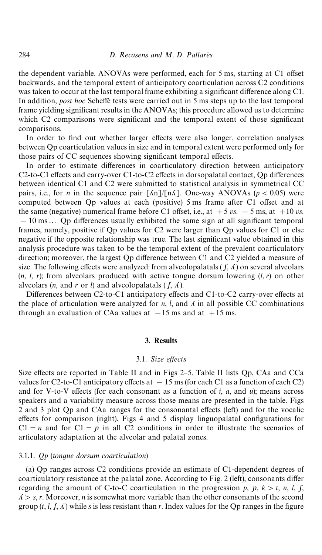the dependent variable. ANOVAs were performed, each for 5 ms, starting at C1 offset backwards, and the temporal extent of anticipatory coarticulation across C2 conditions was taken to occur at the last temporal frame exhibiting a significant difference along C1. In addition, *post hoc* Scheffé tests were carried out in 5 ms steps up to the last temporal frame yielding significant results in the ANOVAs; this procedure allowed us to determine which  $C2$  comparisons were significant and the temporal extent of those significant comparisons.

In order to find out whether larger effects were also longer, correlation analyses between Qp coarticulation values in size and in temporal extent were performed only for those pairs of CC sequences showing significant temporal effects.

In order to estimate differences in coarticulatory direction between anticipatory  $C2$ -to-C1 effects and carry-over C1-to-C2 effects in dorsopalatal contact, Qp differences between identical C1 and C2 were submitted to statistical analysis in symmetrical CC pairs, i.e., for *n* in the sequence pair  $\lceil \ln \lceil \ln \lceil \ln \lceil}$ . One-way ANOVAs (*p* < 0.05) were computed between Qp values at each (positive) 5 ms frame after C1 offset and at the same (negative) numerical frame before C1 offset, i.e., at  $+5$  *vs*.  $-5$  ms, at  $+10$  *vs*.  $-10$  ms... Qp differences usually exhibited the same sign at all significant temporal frames, namely, positive if Qp values for C2 were larger than Qp values for C1 or else negative if the opposite relationship was true. The last significant value obtained in this analysis procedure was taken to be the temporal extent of the prevalent coarticulatory direction; moreover, the largest Qp difference between C1 and C2 yielded a measure of size. The following effects were analyzed: from alveolopalatals  $(f, \Lambda)$  on several alveolars  $(n, l, r)$ ; from alveolars produced with active tongue dorsum lowering  $(l, r)$  on other alveolars  $(n, \text{ and } r \text{ or } l)$  and alveolopalatals  $(f, \Lambda)$ .

Differences between C2-to-C1 anticipatory effects and C1-to-C2 carry-over effects at the place of articulation were analyzed for  $n$ ,  $l$ , and  $\Lambda$  in all possible CC combinations through an evaluation of CAa values at  $-15$  ms and at  $+15$  ms.

#### 3. Results

# 3.1. Size effects

Size effects are reported in [Table II](#page-12-0) and in Figs  $2-5$ . Table II lists Qp, CAa and CCa values for C2-to-C1 anticipatory effects at  $-15$  ms (for each C1 as a function of each C2) and for V-to-V effects (for each consonant as a function of  $i$ ,  $a$ , and  $u$ ); means across speakers and a variability measure across those means are presented in the table. [Figs](#page-13-0) [2](#page-13-0) and [3](#page-13-0) plot Qp and CAa ranges for the consonantal effects (left) and for the vocalic effects for comparison (right). [Figs 4](#page-14-0) and [5](#page-14-0) display linguopalatal configurations for  $C1 = n$  and for  $C1 = p$  in all C2 conditions in order to illustrate the scenarios of articulatory adaptation at the alveolar and palatal zones.

# 3.1.1. *Qp* (*tongue dorsum coarticulation*)

(a) Qp ranges across C2 conditions provide an estimate of C1-dependent degrees of coarticulatory resistance at the palatal zone. According to [Fig. 2 \(](#page-13-0)left), consonants differ regarding the amount of C-to-C coarticulation in the progression p,  $p$ ,  $k > t$ ,  $n$ ,  $l$ ,  $f$ ,  $\Lambda > s$ , *r*. Moreover, *n* is somewhat more variable than the other consonants of the second group  $(t, l, f, \Lambda)$  while *s* is less resistant than *r*. Index values for the Qp ranges in the figure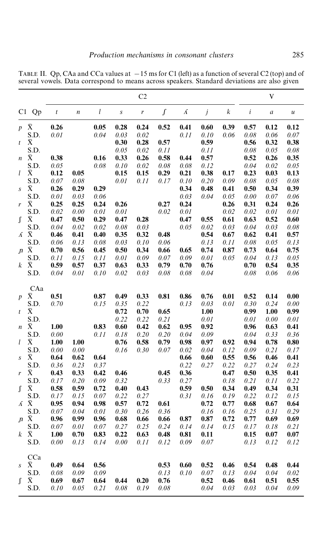|                                       |     |              |              |              |                  | C <sub>2</sub>   |        |              |              |                  |              | V            |              |
|---------------------------------------|-----|--------------|--------------|--------------|------------------|------------------|--------|--------------|--------------|------------------|--------------|--------------|--------------|
| $C1$ Qp                               |     | t            | n            | l            | $\boldsymbol{S}$ | $\boldsymbol{r}$ | $\int$ | Á            | $\dot{J}$    | $\boldsymbol{k}$ | i            | a            | и            |
| $p \overline{X}$                      |     | 0.26         |              | 0.05         | 0.28             | 0.24             | 0.52   | 0.41         | 0.60         | 0.39             | 0.57         | 0.12         | 0.12         |
| S.D.                                  |     | 0.01         |              | 0.04         | 0.03             | $0.02\,$         |        | 0.11         | 0.10         | 0.06             | 0.08         | 0.06         | 0.07         |
| $\bar{\text{X}}$<br>t                 |     |              |              |              | 0.30             | 0.28             | 0.57   |              | 0.59         |                  | 0.56         | 0.32         | 0.38         |
| S.D.                                  |     |              |              |              | 0.05             | 0.02             | 0.11   |              | 0.11         |                  | 0.08         | 0.05         | 0.08         |
| $n \times \bar{X}$                    |     | 0.38         |              | 0.16         | 0.33             | 0.26             | 0.58   | 0.44         | 0.57         |                  | 0.52         | 0.26         | 0.35         |
| S.D.                                  |     | 0.05         |              | 0.08         | 0.10             | $0.02\,$         | 0.08   | 0.08         | 0.12         |                  | 0.04         | 0.02         | 0.05         |
| $\bar{X}$<br>l                        |     | 0.12         | 0.05         |              | 0.15             | 0.15             | 0.29   | 0.21         | 0.38         | 0.17             | 0.23         | 0.03         | 0.13         |
| S.D.                                  |     | $0.07\,$     | 0.08         |              | 0.01             | 0.11             | 0.17   | $0.10\,$     | $0.20\,$     | 0.09             | 0.08         | 0.05         | 0.08         |
| $\bar{X}$<br>$\boldsymbol{S}$         |     | 0.26         | 0.29         | 0.29         |                  |                  |        | 0.34         | 0.48         | 0.41             | 0.50         | 0.34         | 0.39         |
| S.D.                                  |     | 0.01         | 0.03         | 0.06         |                  |                  |        | 0.03         | 0.04         | 0.05             | 0.00         | 0.07         | 0.06         |
| $\bar{X}$<br>r                        |     | 0.25         | 0.25         | 0.24         | $0.26\,$         |                  | 0.27   | 0.24         |              | 0.26             | 0.31         | 0.24         | 0.26         |
| S.D.                                  |     | 0.02         | $0.00\,$     | 0.01         | 0.01             |                  | 0.02   | 0.01         |              | 0.02             | 0.02         | 0.01         | 0.01         |
| $\bar{X}$<br>$\int$                   |     | 0.47         | 0.50         | 0.29         | 0.47             | 0.28             |        | 0.47         | 0.55         | 0.61             | 0.63         | 0.52         | 0.60         |
| S.D.                                  |     | 0.04         | 0.02         | 0.02         | $0.08\,$         | 0.03             |        | 0.05         | 0.02         | 0.03             | 0.04         | 0.03         | 0.08         |
| $\Lambda$ $\bar{X}$                   |     | 0.46         | 0.41         | 0.40         | 0.35             | 0.32             | 0.48   |              | 0.54         | 0.67             | 0.62         | 0.41         | 0.57         |
| S.D.                                  |     | 0.06         | 0.13         | 0.08         | 0.03             | 0.10             | 0.06   |              | 0.13         | 0.11             | 0.08         | 0.05         | 0.13         |
| $n \bar{X}$                           |     | 0.70         | 0.56         | 0.45         | 0.50             | 0.34             | 0.66   | 0.65         | 0.74         | 0.87             | 0.73         | 0.64         | 0.75         |
| S.D.                                  |     | 0.11         | 0.15         | 0.11         | $0.01\,$         | 0.09             | 0.07   | 0.09         | 0.01         | 0.05             | 0.04         | 0.13         | 0.05         |
| $k \bar{X}$                           |     | 0.59         | 0.57         | 0.37         | 0.63             | 0.33             | 0.79   | 0.70         | 0.76         |                  | 0.70         | 0.54         | 0.35         |
| S.D.                                  |     | 0.04         | 0.01         | 0.10         | 0.02             | 0.03             | 0.08   | 0.08         | 0.04         |                  | 0.08         | 0.06         | 0.06         |
|                                       | CAa |              |              |              |                  |                  |        |              |              |                  |              |              |              |
| $\bar{X}$<br>$\boldsymbol{p}$         |     | 0.51         |              | 0.87         | 0.49             | 0.33             | 0.81   | 0.86         | 0.76         | 0.01             | 0.52         | 0.14         | 0.00         |
| S.D.                                  |     | 0.70         |              | 0.15         | 0.35             | 0.22             |        | 0.13         | 0.03         | 0.01             | 0.30         | 0.24         | 0.00         |
| $\bar{X}$<br>$\mathfrak{t}$           |     |              |              |              | 0.72             | 0.70             | 0.65   |              | 1.00         |                  | 0.99         | 1.00         | 0.99         |
| S.D.                                  |     |              |              |              | 0.22             | 0.22             | 0.21   |              | 0.01         |                  | 0.01         | 0.00         | 0.01         |
| $\bar{X}$<br>$\boldsymbol{n}$         |     | 1.00         |              | 0.83         | 0.60             | 0.42             | 0.62   | 0.95         | 0.92         |                  | 0.96         | 0.63         | 0.41         |
| S.D.                                  |     | 0.00         |              | 0.11         | 0.18             | $0.20\,$         | 0.20   | 0.04         | 0.09         |                  | 0.04         | 0.33         | 0.36         |
| $\bar{\text{X}}$<br>l                 |     | 1.00         | 1.00         |              | 0.76             | 0.58             | 0.79   | 0.98         | 0.97         | 0.92             | 0.94         | 0.78         | 0.80         |
| S.D.                                  |     | 0.00         | 0.00         |              | 0.16             | 0.30             | 0.07   | $0.02\,$     | $0.04\,$     | 0.12             | 0.09         | 0.21         | 0.17         |
| $\bar{X}$<br>$\boldsymbol{S}$<br>S.D. |     | 0.64<br>0.36 | 0.62         | 0.64<br>0.37 |                  |                  |        | 0.66<br>0.22 | 0.60<br>0.27 | 0.55             | 0.56         | 0.46         | 0.41<br>0.23 |
| $\bar{X}$                             |     | 0.43         | 0.23<br>0.33 | 0.42         | 0.46             |                  | 0.45   | 0.36         |              | 0.22<br>0.47     | 0.27<br>0.50 | 0.24<br>0.35 | 0.41         |
| r<br>S.D.                             |     | 0.17         | $0.20\,$     | 0.09         | 0.32             |                  | 0.33   | 0.27         |              | 0.18             | 0.21         | 0.11         | 0.22         |
| $\bar{\text{X}}$<br>$\int$            |     | 0.58         | 0.59         | 0.72         | 0.40             | 0.43             |        | 0.59         | 0.50         | 0.34             | 0.49         | 0.34         | 0.31         |
| S.D.                                  |     | 0.17         | 0.15         | 0.07         | 0.22             | 0.27             |        | 0.31         | 0.16         | 0.19             | 0.22         | 0.12         | 0.15         |
| $\Lambda$ $\bar{X}$                   |     | 0.95         | 0.94         | 0.98         | 0.57             | 0.72             | 0.61   |              | 0.72         | 0.77             | 0.68         | 0.67         | 0.64         |
| S.D.                                  |     | $0.07\,$     | 0.04         | 0.01         | 0.30             | 0.26             | 0.36   |              | 0.16         | 0.16             | 0.25         | 0.31         | 0.29         |
| $n \bar{X}$                           |     | 0.96         | 0.99         | 0.96         | 0.68             | 0.66             | 0.66   | 0.87         | 0.87         | 0.72             | 0.77         | 0.69         | 0.69         |
| S.D.                                  |     | 0.07         | 0.01         | 0.07         | 0.27             | 0.25             | 0.24   | 0.14         | 0.14         | 0.15             | 0.17         | 0.18         | 0.21         |
| $k \bar{X}$                           |     | 1.00         | 0.70         | 0.83         | 0.22             | 0.63             | 0.48   | 0.81         | 0.11         |                  | 0.15         | 0.07         | 0.07         |
| S.D.                                  |     | 0.00         | 0.13         | 0.14         | 0.00             | 0.11             | 0.12   | 0.09         | 0.07         |                  | 0.13         | 0.12         | 0.12         |
| CCa                                   |     |              |              |              |                  |                  |        |              |              |                  |              |              |              |
| $\bar{X}$<br>$\boldsymbol{S}$         |     | 0.49         | 0.64         | 0.56         |                  |                  | 0.53   | 0.60         | 0.52         | 0.46             | 0.54         | 0.48         | 0.44         |
| S.D.                                  |     | 0.08         | 0.09         | 0.09         |                  |                  | 0.13   | 0.10         | 0.07         | 0.13             | 0.04         | 0.04         | 0.02         |
| $\bar{X}$<br>$\int$                   |     | 0.69         | 0.67         | 0.64         | 0.44             | 0.20             | 0.76   |              | 0.52         | 0.46             | 0.61         | 0.51         | 0.55         |
| S.D.                                  |     | 0.10         | 0.05         | 0.21         | 0.08             | 0.19             | 0.08   |              | 0.04         | 0.03             | 0.03         | 0.04         | 0.09         |

<span id="page-12-0"></span>TABLE II. Qp, CAa and CCa values at  $-15$  ms for C1 (left) as a function of several C2 (top) and of several vowels. Data correspond to means across speakers. Standard deviations are also given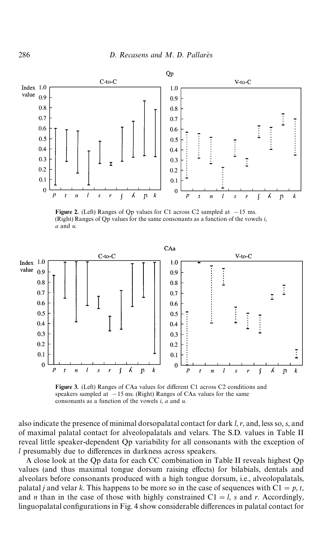<span id="page-13-0"></span>

Figure 2. (Left) Ranges of Qp values for C1 across C2 sampled at  $-15$  ms. (Right) Ranges of Qp values for the same consonants as a function of the vowels *i*, *a* and *u*.



Figure 3. (Left) Ranges of CAa values for different C1 across C2 conditions and speakers sampled at  $-15$  ms. (Right) Ranges of CAa values for the same consonants as a function of the vowels *i*, *a* and *u*.

also indicate the presence of minimal dorsopalatal contact for dark *l*, *r*, and, less so, *s*, and of maximal palatal contact for alveolopalatals and velars. The S.D. values in [Table II](#page-12-0) reveal little speaker-dependent Qp variability for all consonants with the exception of *l* presumably due to differences in darkness across speakers.

A close look at the Qp data for each CC combination in [Table II](#page-12-0) reveals highest Qp values (and thus maximal tongue dorsum raising effects) for bilabials, dentals and alveolars before consonants produced with a high tongue dorsum, i.e., alveolopalatals, palatal *j* and velar *k*. This happens to be more so in the case of sequences with  $C_1 = p$ , *t*, and *n* than in the case of those with highly constrained  $C1 = l$ , *s* and *r*. Accordingly, linguopalatal configurations i[n Fig. 4 s](#page-14-0)how considerable differences in palatal contact for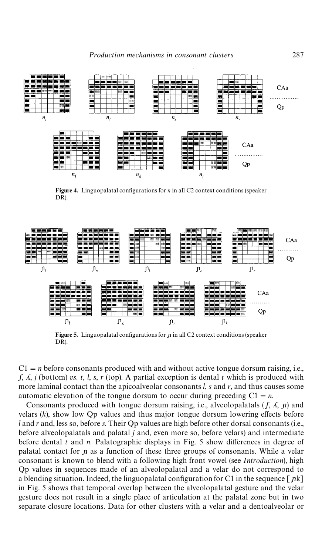<span id="page-14-0"></span>

Figure 4. Linguopalatal configurations for *n* in all C2 context conditions (speaker DR).



Figure 5. Linguopalatal configurations for  $p$  in all C2 context conditions (speaker DR).

 $C_1$  = *n* before consonants produced with and without active tongue dorsum raising, i.e.,  $\int$ ,  $\Lambda$ , *j* (bottom) *vs. t*, *l*, *s*, *r* (top). A partial exception is dental *t* which is produced with more laminal contact than the apicoalveolar consonants *l*, *s* and *r*, and thus causes some automatic elevation of the tongue dorsum to occur during preceding  $C1 = n$ .

Consonants produced with tongue dorsum raising, i.e., alveolopalatals  $(f, \Lambda, n)$  and velars  $(k)$ , show low  $Qp$  values and thus major tongue dorsum lowering effects before *l* and *r* and, less so, before *s*. Their Qp values are high before other dorsal consonants (i.e., before alveolopalatals and palatal *j* and, even more so, before velars) and intermediate before dental  $t$  and  $n$ . Palatographic displays in Fig. 5 show differences in degree of palatal contact for  $\mu$  as a function of these three groups of consonants. While a velar consonant is known to blend with a following high front vowel (see *Introduction*), high Qp values in sequences made of an alveolopalatal and a velar do not correspond to a blending situation. Indeed, the linguopalatal configuration for C1 in the sequence  $\lceil nk \rceil$ in Fig. 5 shows that temporal overlap between the alveolopalatal gesture and the velar gesture does not result in a single place of articulation at the palatal zone but in two separate closure locations. Data for other clusters with a velar and a dentoalveolar or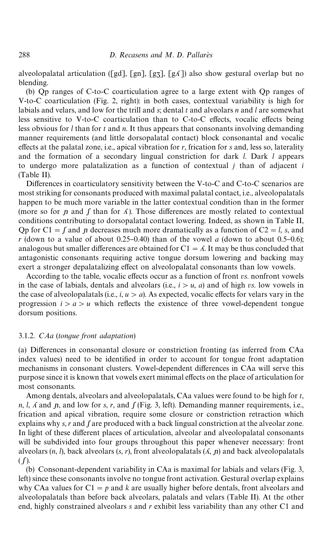alveolopalatal articulation ([gd], [gn], [gz], [g $\Lambda$ ]) also show gestural overlap but no blending.

(b) Qp ranges of C-to-C coarticulation agree to a large extent with Qp ranges of V-to-C coarticulation [\(Fig. 2,](#page-13-0) right): in both cases, contextual variability is high for labials and velars, and low for the trill and *s*; dental *t* and alveolars *n* and *l* are somewhat less sensitive to V-to-C coarticulation than to C-to-C effects, vocalic effects being less obvious for *l* than for *t* and *n*. It thus appears that consonants involving demanding manner requirements (and little dorsopalatal contact) block consonantal and vocalic effects at the palatal zone, i.e., apical vibration for *r*, frication for *s* and, less so, laterality and the formation of a secondary lingual constriction for dark *l*. Dark *l* appears to undergo more palatalization as a function of contextual *j* than of adjacent *i* [\(Table II\)](#page-12-0).

Differences in coarticulatory sensitivity between the V-to-C and C-to-C scenarios are most striking for consonants produced with maximal palatal contact, i.e., alveolopalatals happen to be much more variable in the latter contextual condition than in the former (more so for  $\pi$  and  $\Gamma$  than for  $\Lambda$ ). Those differences are mostly related to contextual conditions contributing to dorsopalatal contact lowering. Indeed, as shown in [Table II,](#page-12-0) Qp for C1 =  $\int$  and  $\int$  decreases much more dramatically as a function of C2 = *l*, *s*, and *r* (down to a value of about 0.25-0.40) than of the vowel *a* (down to about 0.5-0.6); analogous but smaller differences are obtained for  $CI = \Lambda$ . It may be thus concluded that antagonistic consonants requiring active tongue dorsum lowering and backing may exert a stronger depalatalizing effect on alveolopalatal consonants than low vowels.

According to the table, vocalic effects occur as a function of front *vs*. nonfront vowels in the case of labials, dentals and alveolars (i.e.,  $i > u$ , *a*) and of high *vs*. low vowels in the case of alveolopalatals (i.e.,  $i, u > a$ ). As expected, vocalic effects for velars vary in the progression  $i > a > u$  which reflects the existence of three vowel-dependent tongue dorsum positions.

# 3.1.2. *CAa* (*tongue front adaptation*)

(a) Differences in consonantal closure or constriction fronting (as inferred from CAa index values) need to be identified in order to account for tongue front adaptation mechanisms in consonant clusters. Vowel-dependent differences in CAa will serve this purpose since it is known that vowels exert minimal effects on the place of articulation for most consonants.

Among dentals, alveolars and alveolopalatals, CAa values were found to be high for *t*,  $n, l, \Lambda$  and  $p$ , and low for *s*, *r*, and  $\int$  [\(Fig. 3, l](#page-13-0)eft). Demanding manner requirements, i.e., frication and apical vibration, require some closure or constriction retraction which explains why *s*, *r* and *f* are produced with a back lingual constriction at the alveolar zone. In light of these different places of articulation, alveolar and alveolopalatal consonants will be subdivided into four groups throughout this paper whenever necessary: front alveolars  $(n, l)$ , back alveolars  $(s, r)$ , front alveolopalatals  $(\Lambda, n)$  and back alveolopalatals  $(f)$ .

(b) Consonant-dependent variability in CAa is maximal for labials and velars [\(Fig. 3,](#page-13-0) left) since these consonants involve no tongue front activation. Gestural overlap explains why CAa values for  $C1 = p$  and *k* are usually higher before dentals, front alveolars and alveolopalatals than before back alveolars, palatals and velars [\(Table II\)](#page-12-0). At the other end, highly constrained alveolars *s* and *r* exhibit less variability than any other C1 and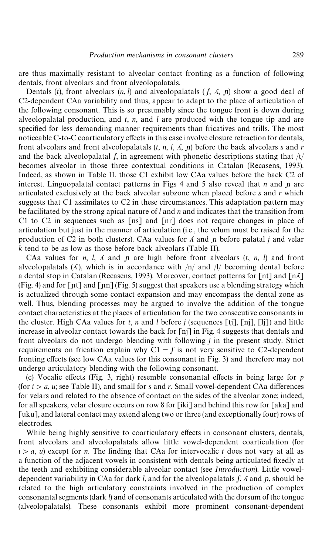are thus maximally resistant to alveolar contact fronting as a function of following dentals, front alveolars and front alveolopalatals.

Dentals (*t*), front alveolars  $(n, l)$  and alveolopalatals  $(f, \Lambda, n)$  show a good deal of C2-dependent CAa variability and thus, appear to adapt to the place of articulation of the following consonant. This is so presumably since the tongue front is down during alveolopalatal production, and *t*, *n*, and *l* are produced with the tongue tip and are specified for less demanding manner requirements than fricatives and trills. The most noticeable C-to-C coarticulatory effects in this case involve closure retraction for dentals, front alveolars and front alveolopalatals  $(t, n, l, \Lambda, n)$  before the back alveolars *s* and *r* and the back alveolopalatal  $\beta$ , in agreement with phonetic descriptions stating that  $\beta t$ becomes alveolar in those three contextual conditions in Catalan [\(Recasens, 1993\).](#page-28-0) Indeed, as shown in [Table II,](#page-12-0) those C1 exhibit low CAa values before the back C2 of interest. Linguopalatal contact patterns in [Figs 4](#page-14-0) and [5 a](#page-14-0)lso reveal that  $n$  and  $p$  are articulated exclusively at the back alveolar subzone when placed before *s* and *r* which suggests that C1 assimilates to C2 in these circumstances. This adaptation pattern may be facilitated by the strong apical nature of *l* and *n* and indicates that the transition from C1 to C2 in sequences such as [ns] and [nr] does not require changes in place of articulation but just in the manner of articulation (i.e., the velum must be raised for the production of C2 in both clusters). CAa values for  $\Lambda$  and  $\mu$  before palatal *j* and velar *k* tend to be as low as those before back alveolars [\(Table II\)](#page-12-0).

CAa values for *n*, *l*,  $\Lambda$  and  $\Lambda$  are high before front alveolars  $(t, n, l)$  and front alveolopalatals  $(X)$ , which is in accordance with  $/n/$  and  $N/$  becoming dental before a dental stop in Catalan [\(Recasens, 1993\).](#page-28-0) Moreover, contact patterns for  $\lceil \pi \rceil$  and  $\lceil \pi \Lambda \rceil$ [\(Fig. 4\)](#page-14-0) and for  $\lceil \pi \rceil$  and  $\lceil \pi \rceil$  [\(Fig. 5\)](#page-14-0) suggest that speakers use a blending strategy which is actualized through some contact expansion and may encompass the dental zone as well. Thus, blending processes may be argued to involve the addition of the tongue contact characteristics at the places of articulation for the two consecutive consonants in the cluster. High CAa values for *t*, *n* and *l* before *j* (sequences [tj], [nj], [lj]) and little increase in alveolar contact towards the back for [nj] in [Fig. 4](#page-14-0) suggests that dentals and front alveolars do not undergo blending with following *j* in the present study. Strict requirements on frication explain why  $C1 = f$  is not very sensitive to C2-dependent fronting effects (see low CAa values for this consonant i[n Fig. 3\)](#page-13-0) and therefore may not undergo articulatory blending with the following consonant.

(c) Vocalic effects [\(Fig. 3,](#page-13-0) right) resemble consonantal effects in being large for  $p$ (for  $i > a$ ,  $u$ ; see [Table II\),](#page-12-0) and small for *s* and *r*. Small vowel-dependent CAa differences for velars and related to the absence of contact on the sides of the alveolar zone; indeed, for all speakers, velar closure occurs on row 8 for [iki] and behind this row for [aka] and [uku], and lateral contact may extend along two or three (and exceptionally four) rows of electrodes.

While being highly sensitive to coarticulatory effects in consonant clusters, dentals, front alveolars and alveolopalatals allow little vowel-dependent coarticulation (for  $i > a$ , *u*) except for *n*. The finding that CAa for intervocalic *t* does not vary at all as a function of the adjacent vowels in consistent with dentals being articulated fixedly at the teeth and exhibiting considerable alveolar contact (see *Introduction*). Little voweldependent variability in CAa for dark *l*, and for the alveolopalatals  $\int$ ,  $\Lambda$  and  $\mu$ , should be related to the high articulatory constraints involved in the production of complex consonantal segments (dark *l*) and of consonants articulated with the dorsum of the tongue (alveolopalatals). These consonants exhibit more prominent consonant-dependent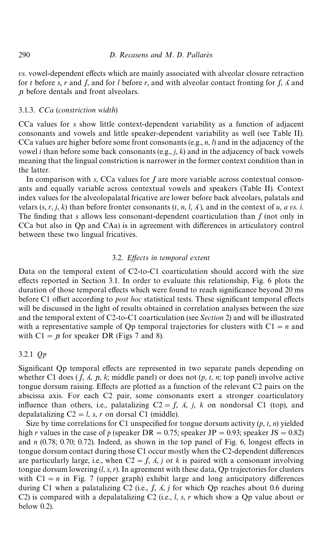*vs*. vowel-dependent effects which are mainly associated with alveolar closure retraction for *t* before *s*, *r* and *f*, and for *l* before *r*, and with alveolar contact fronting for  $f$ ,  $\Lambda$  and n before dentals and front alveolars.

# 3.1.3. *CCa* (*constriction width*)

CCa values for *s* show little context-dependent variability as a function of adjacent consonants and vowels and little speaker-dependent variability as well (see [Table II\).](#page-12-0) CCa values are higher before some front consonants (e.g., *n*, *l*) and in the adjacency of the vowel *i* than before some back consonants (e.g.,  $j$ ,  $k$ ) and in the adjacency of back vowels meaning that the lingual constriction is narrower in the former context condition than in the latter.

In comparison with *s*, CCa values for  $\int$  are more variable across contextual consonants and equally variable across contextual vowels and speakers [\(Table II\)](#page-12-0). Context index values for the alveolopalatal fricative are lower before back alveolars, palatals and velars  $(s, r, j, k)$  than before fronter consonants  $(t, n, l, \Lambda)$ , and in the context of  $u, a v s.$  *i*. The finding that  $s$  allows less consonant-dependent coarticulation than  $f$  (not only in CCa but also in Qp and CAa) is in agreement with differences in articulatory control between these two lingual fricatives.

# 3.2. *E*+*ects in temporal extent*

Data on the temporal extent of C2-to-C1 coarticulation should accord with the size effects reported in Section 3.1. In order to evaluate this relationship, [Fig. 6](#page-18-0) plots the duration of those temporal effects which were found to reach significance beyond 20 ms before C1 offset according to *post hoc* statistical tests. These significant temporal effects will be discussed in the light of results obtained in correlation analyses between the size and the temporal extent of C2-to-C1 coarticulation (see *[Section](#page-7-0)* 2) and will be illustrated with a representative sample of Qp temporal trajectories for clusters with  $C1 = n$  and with  $C1 = p$  for speaker DR ([Figs 7](#page-19-0) an[d 8\)](#page-20-0).

# 3.2.1 *Qp*

Significant Qp temporal effects are represented in two separate panels depending on whether C1 does  $(f, \Lambda, p, k;$  middle panel) or does not  $(p, t, n;$  top panel) involve active tongue dorsum raising. Effects are plotted as a function of the relevant C2 pairs on the abscissa axis. For each C2 pair, some consonants exert a stronger coarticulatory influence than others, i.e., palatalizing  $C2 = f$ ,  $\Lambda$ ,  $j$ ,  $k$  on nondorsal C1 (top), and depalatalizing  $C2 = l$ , *s*, *r* on dorsal C1 (middle).

Size by time correlations for C1 unspecified for tongue dorsum activity  $(p, t, n)$  yielded high *r* values in the case of *p* (speaker DR = 0.75; speaker JP = 0.93; speaker JS = 0.82) and  $n$  (0.78; 0.70; 0.72). Indeed, as shown in the top panel of [Fig. 6,](#page-18-0) longest effects in tongue dorsum contact during those C1 occur mostly when the C2-dependent differences are particularly large, i.e., when  $C2 = f$ ,  $\Lambda$ , *j* or *k* is paired with a consonant involving tongue dorsum lowering (*l*, *s*, *r*). In agreement with these data, Qp trajectories for clusters with  $C1 = n$  in [Fig. 7](#page-19-0) (upper graph) exhibit large and long anticipatory differences during C1 when a palatalizing C2 (i.e.,  $f$ ,  $\Lambda$ ,  $j$  for which Qp reaches about 0.6 during C2) is compared with a depalatalizing C2 (i.e., *l*, *s*, *r* which show a Qp value about or below 0.2).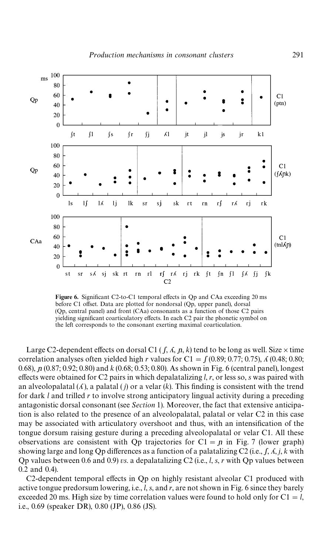<span id="page-18-0"></span>

Figure 6. Significant C2-to-C1 temporal effects in Qp and CAa exceeding 20 ms before C1 offset. Data are plotted for nondorsal (Qp, upper panel), dorsal (Qp, central panel) and front (CAa) consonants as a function of those C2 pairs yielding significant coarticulatory effects. In each C2 pair the phonetic symbol on the left corresponds to the consonant exerting maximal coarticulation.

Large C2-dependent effects on dorsal C1 ( $f$ ,  $\Lambda$ ,  $n$ ,  $k$ ) tend to be long as well. Size  $\times$  time correlation analyses often yielded high *r* values for C1 =  $\int (0.89; 0.77; 0.75)$ ,  $\Lambda (0.48; 0.80;$ 0.68),  $\mu$  (0.87; 0.92; 0.80) and *k* (0.68; 0.53; 0.80). As shown in Fig. 6 (central panel), longest effects were obtained for C2 pairs in which depalatalizing  $l$ ,  $r$ , or less so,  $s$  was paired with an alveolopalatal  $(\Lambda)$ , a palatal  $(j)$  or a velar  $(k)$ . This finding is consistent with the trend for dark *l* and trilled *r* to involve strong anticipatory lingual activity during a preceding antagonistic dorsal consonant (see *Section* 1). Moreover, the fact that extensive anticipation is also related to the presence of an alveolopalatal, palatal or velar C2 in this case may be associated with articulatory overshoot and thus, with an intensification of the tongue dorsum raising gesture during a preceding alveolopalatal or velar C1. All these observations are consistent with Qp trajectories for  $C1 = n$  in [Fig. 7](#page-19-0) (lower graph) showing large and long Qp differences as a function of a palatalizing C2 (i.e.,  $f$ ,  $\Lambda$ ,  $j$ ,  $k$  with Qp values between 0.6 and 0.9) *vs*. a depalatalizing C2 (i.e., *l*, *s*, *r* with Qp values between 0.2 and 0.4).

 $C2$ -dependent temporal effects in  $Qp$  on highly resistant alveolar  $C1$  produced with active tongue predorsum lowering, i.e., *l*, *s*, and *r*, are not shown in Fig. 6 since they barely exceeded 20 ms. High size by time correlation values were found to hold only for  $C1 = l$ , i.e., 0.69 (speaker DR), 0.80 (JP), 0.86 (JS).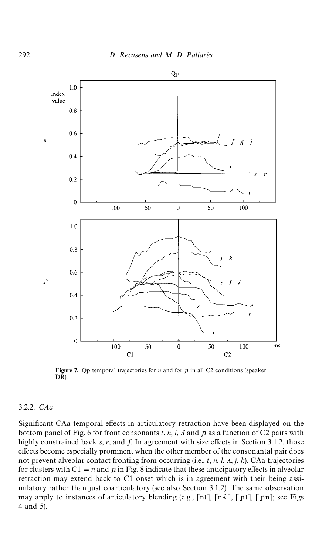<span id="page-19-0"></span>

Figure 7. Qp temporal trajectories for  $n$  and for  $p$  in all C2 conditions (speaker DR).

#### 3.2.2. *CAa*

Significant CAa temporal effects in articulatory retraction have been displayed on the bottom panel of [Fig. 6](#page-18-0) for front consonants *t*, *n*, *l*,  $\Lambda$  and  $\Lambda$  as a function of C2 pairs with highly constrained back *s*, *r*, and *f*. In agreement with size effects in Section 3.1.2, those effects become especially prominent when the other member of the consonantal pair does not prevent alveolar contact fronting from occurring (i.e., *t*, *n*, *l*, <sup>V</sup>, *j*, *k*). CAa trajectories for clusters with  $C1 = n$  and  $p$  i[n Fig. 8](#page-20-0) indicate that these anticipatory effects in alveolar retraction may extend back to C1 onset which is in agreement with their being assimilatory rather than just coarticulatory (see also Section 3.1.2). The same observation may apply to instances of articulatory blending (e.g.,  $\lceil nt \rceil$ ,  $\lceil nt \rceil$ ,  $\lceil nt \rceil$ ,  $\lceil nn \rceil$ ; see [Figs](#page-14-0) [4](#page-14-0) and [5\).](#page-14-0)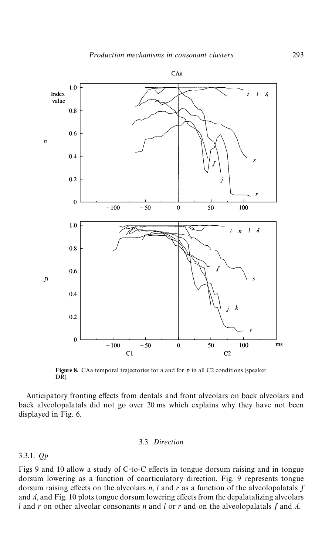<span id="page-20-0"></span>

Figure 8. CAa temporal trajectories for  $n$  and for  $p$  in all C2 conditions (speaker DR).

Anticipatory fronting effects from dentals and front alveolars on back alveolars and back alveolopalatals did not go over 20 ms which explains why they have not been displayed in [Fig. 6.](#page-18-0)

#### 3.3. *Direction*

# 3.3.1. *Qp*

[Figs 9](#page-21-0) an[d 10](#page-21-0) allow a study of C-to-C effects in tongue dorsum raising and in tongue dorsum lowering as a function of coarticulatory direction. [Fig. 9](#page-21-0) represents tongue dorsum raising effects on the alveolars  $n$ ,  $l$  and  $r$  as a function of the alveolopalatals  $f$ and  $\Lambda$ , and [Fig. 10](#page-21-0) plots tongue dorsum lowering effects from the depalatalizing alveolars *l* and *r* on other alveolar consonants *n* and *l* or *r* and on the alveolopalatals  $\int$  and  $\Lambda$ .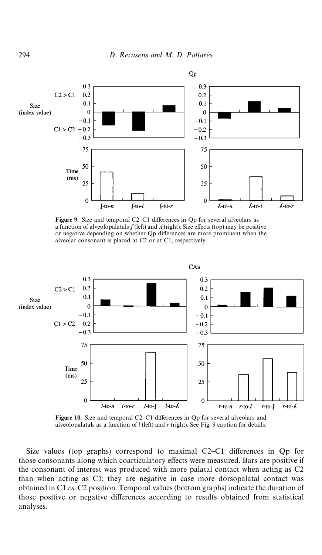<span id="page-21-0"></span>

Figure 9. Size and temporal C2–C1 differences in Qp for several alveolars as a function of alveolopalatals  $f$  (left) and  $\Lambda$  (right). Size effects (top) may be positive or negative depending on whether Qp differences are more prominent when the alveolar consonant is placed at C2 or at C1, respectively.



Figure 10. Size and temporal C2-C1 differences in Qp for several alveolars and alveolopalatals as a function of *l* (left) and *r* (right). See Fig. 9 caption for details.

Size values (top graphs) correspond to maximal C2-C1 differences in  $Qp$  for those consonants along which coarticulatory effects were measured. Bars are positive if the consonant of interest was produced with more palatal contact when acting as C2 than when acting as C1; they are negative in case more dorsopalatal contact was obtained in C1 *vs*. C2 position. Temporal values (bottom graphs) indicate the duration of those positive or negative differences according to results obtained from statistical analyses.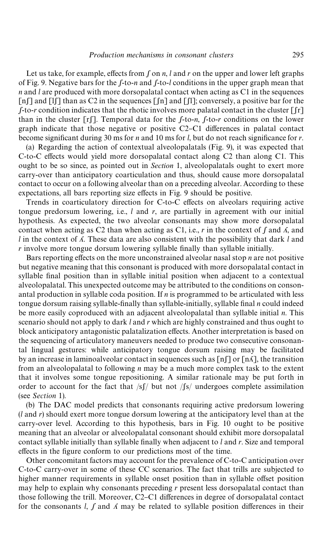Let us take, for example, effects from  $\int$  on  $n$ ,  $\ell$  and  $r$  on the upper and lower left graphs of [Fig. 9.](#page-21-0) Negative bars for the ʃ-to-*n* and ʃ-to-*l* conditions in the upper graph mean that *n* and *l* are produced with more dorsopalatal contact when acting as C1 in the sequences  $\lceil n \rceil$  and  $\lceil \rceil \rceil$  than as C2 in the sequences  $\lceil \rceil \rceil$  and  $\lceil \rceil \rceil$ ; conversely, a positive bar for the  $\int$ -to- $r$  condition indicates that the rhotic involves more palatal contact in the cluster  $\lceil \cdot \rceil$ than in the cluster  $\lceil \mathbf{r} \rceil$ . Temporal data for the *f*-to-*n*, *f*-to-*r* conditions on the lower graph indicate that those negative or positive  $C2-C1$  differences in palatal contact become significant during 30 ms for *n* and 10 ms for *l*, but do not reach significance for *r*.

(a) Regarding the action of contextual alveolopalatals [\(Fig. 9\)](#page-21-0), it was expected that C-to-C effects would yield more dorsopalatal contact along C2 than along C1. This ought to be so since, as pointed out in *Section* 1, alveolopalatals ought to exert more carry-over than anticipatory coarticulation and thus, should cause more dorsopalatal contact to occur on a following alveolar than on a preceding alveolar. According to these expectations, all bars reporting size effects in [Fig. 9](#page-21-0) should be positive.

Trends in coarticulatory direction for C-to-C effects on alveolars requiring active tongue predorsum lowering, i.e., *l* and *r*, are partially in agreement with our initial hypothesis. As expected, the two alveolar consonants may show more dorsopalatal contact when acting as C2 than when acting as C1, i.e.,  $r$  in the context of  $\int$  and  $\Lambda$ , and *l* in the context of X. These data are also consistent with the possibility that dark *l* and *r* involve more tongue dorsum lowering syllable finally than syllable initially.

Bars reporting effects on the more unconstrained alveolar nasal stop *n* are not positive but negative meaning that this consonant is produced with more dorsopalatal contact in syllable final position than in syllable initial position when adjacent to a contextual alveolopalatal. This unexpected outcome may be attributed to the conditions on consonantal production in syllable coda position. If *n* is programmed to be articulated with less tongue dorsum raising syllable-finally than syllable-initially, syllable final *n* could indeed be more easily coproduced with an adjacent alveolopalatal than syllable initial *n*. This scenario should not apply to dark *l* and *r* which are highly constrained and thus ought to block anticipatory antagonistic palatalization effects. Another interpretation is based on the sequencing of articulatory maneuvers needed to produce two consecutive consonantal lingual gestures: while anticipatory tongue dorsum raising may be facilitated by an increase in laminoalveolar contact in sequences such as  $\lceil n \rceil$  or  $\lceil n \lambda \rceil$ , the transition from an alveolopalatal to following *n* may be a much more complex task to the extent that it involves some tongue repositioning. A similar rationale may be put forth in order to account for the fact that  $\sqrt{s}$  but not  $\sqrt{s}$  undergoes complete assimilation (see *[Section](#page-0-0)* 1).

(b) The DAC model predicts that consonants requiring active predorsum lowering (*l* and *r*) should exert more tongue dorsum lowering at the anticipatory level than at the carry-over level. According to this hypothesis, bars in [Fig. 10](#page-21-0) ought to be positive meaning that an alveolar or alveolopalatal consonant should exhibit more dorsopalatal contact syllable initially than syllable finally when adjacent to *l* and *r*. Size and temporal effects in the figure conform to our predictions most of the time.

Other concomitant factors may account for the prevalence of C-to-C anticipation over C-to-C carry-over in some of these CC scenarios. The fact that trills are subjected to higher manner requirements in syllable onset position than in syllable offset position may help to explain why consonants preceding *r* present less dorsopalatal contact than those following the trill. Moreover, C2–C1 differences in degree of dorsopalatal contact for the consonants *l*,  $\int$  and  $\Lambda$  may be related to syllable position differences in their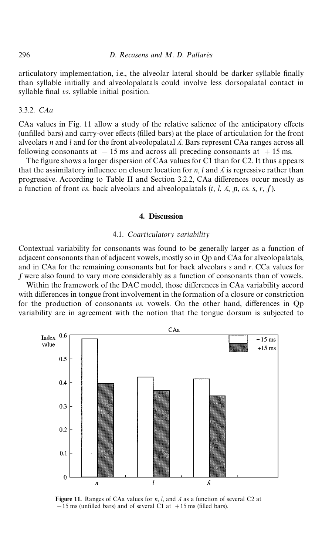articulatory implementation, i.e., the alveolar lateral should be darker syllable finally than syllable initially and alveolopalatals could involve less dorsopalatal contact in syllable final *vs*. syllable initial position.

# 3.3.2. *CAa*

CAa values in Fig. 11 allow a study of the relative salience of the anticipatory effects (unfilled bars) and carry-over effects (filled bars) at the place of articulation for the front alveolars *n* and *l* and for the front alveolopalatal *A*. Bars represent CAa ranges across all following consonants at  $-15$  ms and across all preceding consonants at  $+15$  ms.

The figure shows a larger dispersion of CAa values for C1 than for C2. It thus appears that the assimilatory influence on closure location for *n*, *l* and  $\Lambda$  is regressive rather than progressive. According to [Table II](#page-12-0) and Section 3.2.2, CAa differences occur mostly as a function of front *vs*. back alveolars and alveolopalatals  $(t, l, \Lambda, p, v_s, s, r, f)$ .

# 4. Discussion

# 4.1. *Coarticulatory variability*

Contextual variability for consonants was found to be generally larger as a function of adjacent consonants than of adjacent vowels, mostly so in Qp and CAa for alveolopalatals, and in CAa for the remaining consonants but for back alveolars *s* and *r*. CCa values for ʃ were also found to vary more considerably as a function of consonants than of vowels.

Within the framework of the DAC model, those differences in CAa variability accord with differences in tongue front involvement in the formation of a closure or constriction for the production of consonants *vs*. vowels. On the other hand, differences in Qp variability are in agreement with the notion that the tongue dorsum is subjected to



Figure 11. Ranges of CAa values for  $n$ ,  $l$ , and  $\Lambda$  as a function of several C2 at  $-15$  ms (unfilled bars) and of several C1 at  $+15$  ms (filled bars).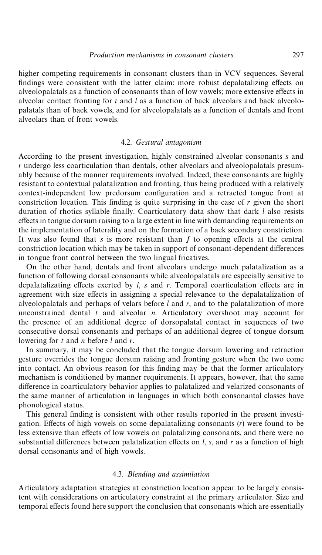higher competing requirements in consonant clusters than in VCV sequences. Several findings were consistent with the latter claim: more robust depalatalizing effects on alveolopalatals as a function of consonants than of low vowels; more extensive effects in alveolar contact fronting for *t* and *l* as a function of back alveolars and back alveolopalatals than of back vowels, and for alveolopalatals as a function of dentals and front alveolars than of front vowels.

# 4.2. *Gestural antagonism*

According to the present investigation, highly constrained alveolar consonants *s* and *r* undergo less coarticulation than dentals, other alveolars and alveolopalatals presumably because of the manner requirements involved. Indeed, these consonants are highly resistant to contextual palatalization and fronting, thus being produced with a relatively context-independent low predorsum configuration and a retracted tongue front at constriction location. This finding is quite surprising in the case of  $r$  given the short duration of rhotics syllable finally. Coarticulatory data show that dark *l* also resists effects in tongue dorsum raising to a large extent in line with demanding requirements on the implementation of laterality and on the formation of a back secondary constriction. It was also found that  $s$  is more resistant than  $f$  to opening effects at the central constriction location which may be taken in support of consonant-dependent differences in tongue front control between the two lingual fricatives.

On the other hand, dentals and front alveolars undergo much palatalization as a function of following dorsal consonants while alveolopalatals are especially sensitive to depalatalizating effects exerted by  $l$ ,  $s$  and  $r$ . Temporal coarticulation effects are in agreement with size effects in assigning a special relevance to the depalatalization of alveolopalatals and perhaps of velars before *l* and *r*, and to the palatalization of more unconstrained dental *t* and alveolar *n*. Articulatory overshoot may account for the presence of an additional degree of dorsopalatal contact in sequences of two consecutive dorsal consonants and perhaps of an additional degree of tongue dorsum lowering for *t* and *n* before *l* and *r*.

In summary, it may be concluded that the tongue dorsum lowering and retraction gesture overrides the tongue dorsum raising and fronting gesture when the two come into contact. An obvious reason for this finding may be that the former articulatory mechanism is conditioned by manner requirements. It appears, however, that the same difference in coarticulatory behavior applies to palatalized and velarized consonants of the same manner of articulation in languages in which both consonantal classes have phonological status.

This general finding is consistent with other results reported in the present investigation. Effects of high vowels on some depalatalizing consonants  $(r)$  were found to be less extensive than effects of low vowels on palatalizing consonants, and there were no substantial differences between palatalization effects on *l*, *s*, and *r* as a function of high dorsal consonants and of high vowels.

# 4.3. *Blending and assimilation*

Articulatory adaptation strategies at constriction location appear to be largely consistent with considerations on articulatory constraint at the primary articulator. Size and temporal effects found here support the conclusion that consonants which are essentially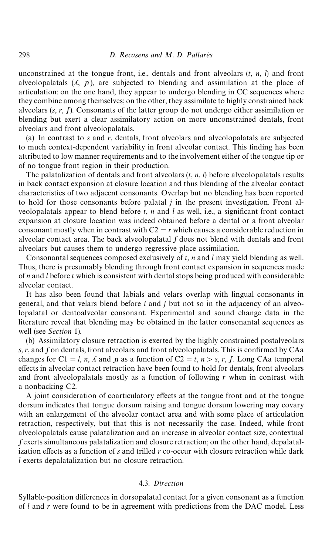unconstrained at the tongue front, i.e., dentals and front alveolars  $(t, n, l)$  and front alveolopalatals  $(K, n)$ , are subjected to blending and assimilation at the place of articulation: on the one hand, they appear to undergo blending in CC sequences where they combine among themselves; on the other, they assimilate to highly constrained back alveolars (*s*, *r*, ʃ). Consonants of the latter group do not undergo either assimilation or blending but exert a clear assimilatory action on more unconstrained dentals, front alveolars and front alveolopalatals.

(a) In contrast to *s* and *r*, dentals, front alveolars and alveolopalatals are subjected to much context-dependent variability in front alveolar contact. This finding has been attributed to low manner requirements and to the involvement either of the tongue tip or of no tongue front region in their production.

The palatalization of dentals and front alveolars (*t*, *n*, *l*) before alveolopalatals results in back contact expansion at closure location and thus blending of the alveolar contact characteristics of two adjacent consonants. Overlap but no blending has been reported to hold for those consonants before palatal *j* in the present investigation. Front alveolopalatals appear to blend before  $t$ ,  $n$  and  $l$  as well, i.e., a significant front contact expansion at closure location was indeed obtained before a dental or a front alveolar consonant mostly when in contrast with  $C2 = r$  which causes a considerable reduction in alveolar contact area. The back alveolopalatal  $f$  does not blend with dentals and front alveolars but causes them to undergo regressive place assimilation.

Consonantal sequences composed exclusively of *t*, *n* and *l* may yield blending as well. Thus, there is presumably blending through front contact expansion in sequences made of *n* and *l* before *t* which is consistent with dental stops being produced with considerable alveolar contact.

It has also been found that labials and velars overlap with lingual consonants in general, and that velars blend before *i* and *j* but not so in the adjacency of an alveolopalatal or dentoalveolar consonant. Experimental and sound change data in the literature reveal that blending may be obtained in the latter consonantal sequences as well (see *[Section](#page-0-0)* 1).

(b) Assimilatory closure retraction is exerted by the highly constrained postalveolars  $s, r$ , and  $f$  on dentals, front alveolars and front alveolopalatals. This is confirmed by CAa changes for C1 = *l, n, A* and *p* as a function of C2 = *t, n* > *s, r, f.* Long CAa temporal effects in alveolar contact retraction have been found to hold for dentals, front alveolars and front alveolopalatals mostly as a function of following *r* when in contrast with a nonbacking C2.

A joint consideration of coarticulatory effects at the tongue front and at the tongue dorsum indicates that tongue dorsum raising and tongue dorsum lowering may covary with an enlargement of the alveolar contact area and with some place of articulation retraction, respectively, but that this is not necessarily the case. Indeed, while front alveolopalatals cause palatalization and an increase in alveolar contact size, contextual ʃ exerts simultaneous palatalization and closure retraction; on the other hand, depalatalization effects as a function of *s* and trilled *r* co-occur with closure retraction while dark *l* exerts depalatalization but no closure retraction.

#### 4.3. *Direction*

Syllable-position differences in dorsopalatal contact for a given consonant as a function of *l* and *r* were found to be in agreement with predictions from the DAC model. Less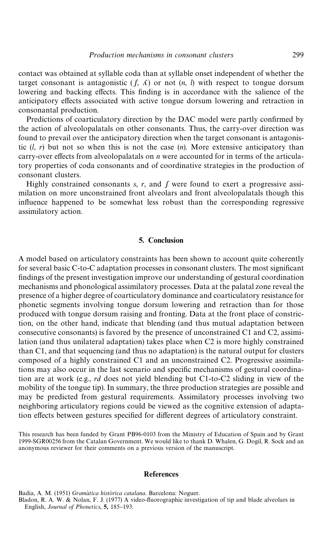<span id="page-26-0"></span>contact was obtained at syllable coda than at syllable onset independent of whether the target consonant is antagonistic  $(f, \Lambda)$  or not  $(n, l)$  with respect to tongue dorsum lowering and backing effects. This finding is in accordance with the salience of the anticipatory effects associated with active tongue dorsum lowering and retraction in consonantal production.

Predictions of coarticulatory direction by the DAC model were partly confirmed by the action of alveolopalatals on other consonants. Thus, the carry-over direction was found to prevail over the anticipatory direction when the target consonant is antagonistic  $(l, r)$  but not so when this is not the case  $(n)$ . More extensive anticipatory than carry-over effects from alveolopalatals on *n* were accounted for in terms of the articulatory properties of coda consonants and of coordinative strategies in the production of consonant clusters.

Highly constrained consonants  $s$ ,  $r$ , and  $f$  were found to exert a progressive assimilation on more unconstrained front alveolars and front alveolopalatals though this influence happened to be somewhat less robust than the corresponding regressive assimilatory action.

# 5. Conclusion

A model based on articulatory constraints has been shown to account quite coherently for several basic  $C$ -to- $C$  adaptation processes in consonant clusters. The most significant findings of the present investigation improve our understanding of gestural coordination mechanisms and phonological assimilatory processes. Data at the palatal zone reveal the presence of a higher degree of coarticulatory dominance and coarticulatory resistance for phonetic segments involving tongue dorsum lowering and retraction than for those produced with tongue dorsum raising and fronting. Data at the front place of constriction, on the other hand, indicate that blending (and thus mutual adaptation between consecutive consonants) is favored by the presence of unconstrained C1 and C2, assimilation (and thus unilateral adaptation) takes place when C2 is more highly constrained than C1, and that sequencing (and thus no adaptation) is the natural output for clusters composed of a highly constrained C1 and an unconstrained C2. Progressive assimilations may also occur in the last scenario and specific mechanisms of gestural coordination are at work (e.g., *rd* does not yield blending but C1-to-C2 sliding in view of the mobility of the tongue tip). In summary, the three production strategies are possible and may be predicted from gestural requirements. Assimilatory processes involving two neighboring articulatory regions could be viewed as the cognitive extension of adaptation effects between gestures specified for different degrees of articulatory constraint.

This research has been funded by Grant PB96-0103 from the Ministry of Education of Spain and by Grant 1999-SGR00256 from the Catalan Government. We would like to thank D. Whalen, G. Dogil, R. Sock and an anonymous reviewer for their comments on a previous version of the manuscript.

#### References

Badia, A. M. (1951) *Gramática histórica catalana*. Barcelona: Noguer.

Bladon, R. A. W. & Nolan, F. J. (1977) A video-fluorographic investigation of tip and blade alveolars in English, *Journal of Phonetics*, 5, 185-193.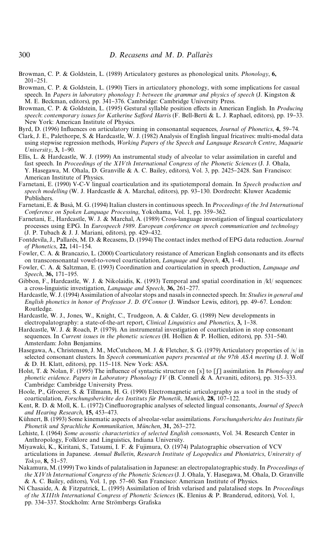- <span id="page-27-0"></span>Browman, C. P. & Goldstein, L. (1989) Articulatory gestures as phonological units. *Phonology*, 6,  $201 - 251.$
- Browman, C. P. & Goldstein, L. (1990) Tiers in articulatory phonology, with some implications for casual speech. In *Papers in laboratory phonology I*: *between the grammar and physics of speech* (J. Kingston & M. E. Beckman, editors), pp. 341–376. Cambridge: Cambridge University Press.
- Browman, C. P. & Goldstein, L. (1995) Gestural syllable position effects in American English. In *Producing speech: contemporary issues for Katherine Safford Harris* (F. Bell-Berti & L. J. Raphael, editors), pp. 19–33. New York: American Institute of Physics.
- Byrd, D. (1996) Influences on articulatory timing in consonantal sequences, *Journal of Phonetics*, 4, 59–74.
- Clark, J. E., Palethorpe, S. & Hardcastle, W. J. (1982) Analysis of English lingual fricatives: multi-modal data using stepwise regression methods, Working Papers of the Speech and Language Research Centre, Maquarie *University*, 3, 1-90.
- Ellis, L. & Hardcastle, W. J. (1999) An instrumental study of alveolar to velar assimilation in careful and fast speech. In *Proceedings of the XI*<*th International Congress of the Phonetic Sciences* (J. J. Ohala, Y. Hasegawa, M. Ohala, D. Granville & A. C. Bailey, editors), Vol. 3, pp. 2425-2428. San Francisco: American Institute of Physics.
- Farnetani, E. (1990) V-C-V lingual coarticulation and its spatiotemporal domain. In *Speech production and speech modelling* (W. J. Hardcastle & A. Marchal, editors), pp. 93}130. Dordrecht: Kluwer Academic Publishers.
- Farnetani, E. & Busa` , M. G. (1994) Italian clusters in continuous speech. In *Proceedings of the 3rd International Conference on Spoken Language Processing*, Yokohama, Vol. 1, pp. 359-362.
- Farnetani, E., Hardcastle, W. J. & Marchal, A. (1989) Cross-language investigation of lingual coarticulatory processes using EPG. In *Eurospeech 1989*. *European conference on speech communication and technology* (J. P. Tubach  $&$  J. J. Mariani, editors), pp. 429-432.
- Fontdevila, J., Pallarès, M. D. & Recasens, D. (1994) The contact index method of EPG data reduction. *Journal of Phonetics*, 22, 141-154.
- Fowler, C. A. & Brancazio, L. (2000) Coarticulatory resistance of American English consonants and its effects on transconsonantal vowel-to-vowel coarticulation, *Language and Speech*, 43, 1–41.
- Fowler, C. A. & Saltzman, E. (1993) Coordination and coarticulation in speech production, *Language and Speech*, 36, 171-195.
- Gibbon, F., Hardcastle, W. J. & Nikolaidis, K. (1993) Temporal and spatial coordination in  $/kl$  sequences: a cross-linguistic investigation, *Language and Speech*, 36, 261-277.
- Hardcastle, W. J. (1994) Assimilation of alveolar stops and nasals in connected speech. In: *Studies in general and English phonetics in honor of Professor J. D. O'Connor (J. Windsor Lewis, editor), pp. 49-67. London:* Routledge.
- Hardcastle, W. J., Jones, W., Knight, C., Trudgeon, A. & Calder, G. (1989) New developments in electropalatography: a state-of-the-art report, *Clinical Linguistics and Phonetics*, 3, 1-38.
- Hardcastle, W. J. & Roach, P. (1979). An instrumental investigation of coarticulation in stop consonant sequences. In *Current issues in the phonetic sciences* (H. Hollien & P. Hollien, editors), pp. 531-540. Amsterdam: John Benjamins.
- Hasegawa, A., Christensen, J. M., McCutcheon, M. J. & Fletcher, S. G. (1979) Articulatory properties of /s/ in selected consonant clusters. In *Speech communication papers presented at the 97th ASA meeting* (J. J. Wolf & D. H. Klatt, editors), pp. 115-118. New York: ASA.
- Holst, T. & Nolan, F. (1995) The influence of syntactic structure on [s] to [f] assimilation. In *Phonology and phonetic evidence. Papers in Laboratory Phonology IV* (B. Connell & A. Arvaniti, editors), pp. 315-333. Cambridge: Cambridge University Press.
- Hoole, P., Gfroerer, S. & Tillmann, H. G. (1990) Electromagnetic articulography as a tool in the study of coarticulation, *Forschungsberichte des Instituts für Phonetik*, *Munich*, 28, 107-122.
- Kent, R. D. & Moll, K. L. (1972) Cinefluorographic analyses of selected lingual consonants, *Journal of Speech* and Hearing Research, 15, 453-473.
- Kühnert, B. (1993) Some kinematic aspects of alveolar-velar assimilations. *Forschungsberichte des Instituts für Phonetik und Sprachliche Kommunikation, München, 31, 263-272.*
- Lehiste, I. (1964) *Some acoustic characteristics of selected English consonants*, Vol. 34. Research Center in Anthropology, Folklore and Linguistics, Indiana University.
- Miyawaki, K., Kiritani, S., Tatsumi, I. F. & Fujimura, O. (1974) Palatographic observation of VCV articulations in Japanese. Annual Bulletin, Research Institute of Logopedics and Phoniatrics, University of Tokyo, 8, 51-57.
- Nakamura, M. (1999) Two kinds of palatalisation in Japanese: an electropalatographic study. In *Proceedings of the XI*<*th International Congress of the Phonetic Sciences* (J. J. Ohala, Y. Hasegawa, M. Ohala, D. Granville & A. C. Bailey, editors), Vol. 1, pp. 57-60. San Francisco: American Institute of Physics.
- Ni Chasaide, A. & Fitzpatrick, L. (1995) Assimilation of Irish velarised and palatalised stops. In *Proceedings of the XIIIth International Congress of Phonetic Sciences* (K. Elenius & P. Branderud, editors), Vol. 1, pp. 334-337. Stockholm: Arne Strömbergs Grafiska